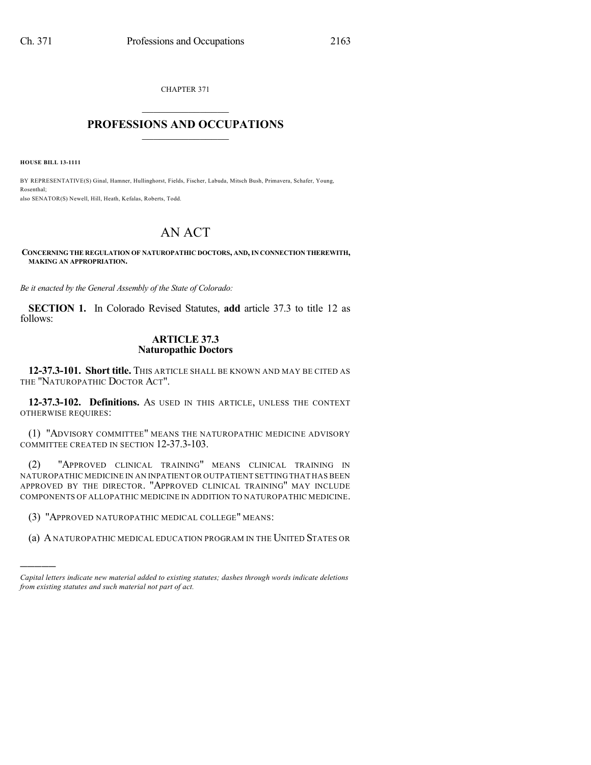CHAPTER 371  $\mathcal{L}_\text{max}$  . The set of the set of the set of the set of the set of the set of the set of the set of the set of the set of the set of the set of the set of the set of the set of the set of the set of the set of the set

## **PROFESSIONS AND OCCUPATIONS**  $\frac{1}{2}$  ,  $\frac{1}{2}$  ,  $\frac{1}{2}$  ,  $\frac{1}{2}$  ,  $\frac{1}{2}$  ,  $\frac{1}{2}$

**HOUSE BILL 13-1111**

)))))

BY REPRESENTATIVE(S) Ginal, Hamner, Hullinghorst, Fields, Fischer, Labuda, Mitsch Bush, Primavera, Schafer, Young, Rosenthal; also SENATOR(S) Newell, Hill, Heath, Kefalas, Roberts, Todd.

# AN ACT

#### **CONCERNING THE REGULATION OF NATUROPATHIC DOCTORS, AND, IN CONNECTION THEREWITH, MAKING AN APPROPRIATION.**

*Be it enacted by the General Assembly of the State of Colorado:*

**SECTION 1.** In Colorado Revised Statutes, **add** article 37.3 to title 12 as follows:

### **ARTICLE 37.3 Naturopathic Doctors**

**12-37.3-101. Short title.** THIS ARTICLE SHALL BE KNOWN AND MAY BE CITED AS THE "NATUROPATHIC DOCTOR ACT".

**12-37.3-102. Definitions.** AS USED IN THIS ARTICLE, UNLESS THE CONTEXT OTHERWISE REQUIRES:

(1) "ADVISORY COMMITTEE" MEANS THE NATUROPATHIC MEDICINE ADVISORY COMMITTEE CREATED IN SECTION 12-37.3-103.

(2) "APPROVED CLINICAL TRAINING" MEANS CLINICAL TRAINING IN NATUROPATHIC MEDICINE IN AN INPATIENT OR OUTPATIENT SETTING THAT HAS BEEN APPROVED BY THE DIRECTOR. "APPROVED CLINICAL TRAINING" MAY INCLUDE COMPONENTS OF ALLOPATHIC MEDICINE IN ADDITION TO NATUROPATHIC MEDICINE.

(3) "APPROVED NATUROPATHIC MEDICAL COLLEGE" MEANS:

(a) ANATUROPATHIC MEDICAL EDUCATION PROGRAM IN THE UNITED STATES OR

*Capital letters indicate new material added to existing statutes; dashes through words indicate deletions from existing statutes and such material not part of act.*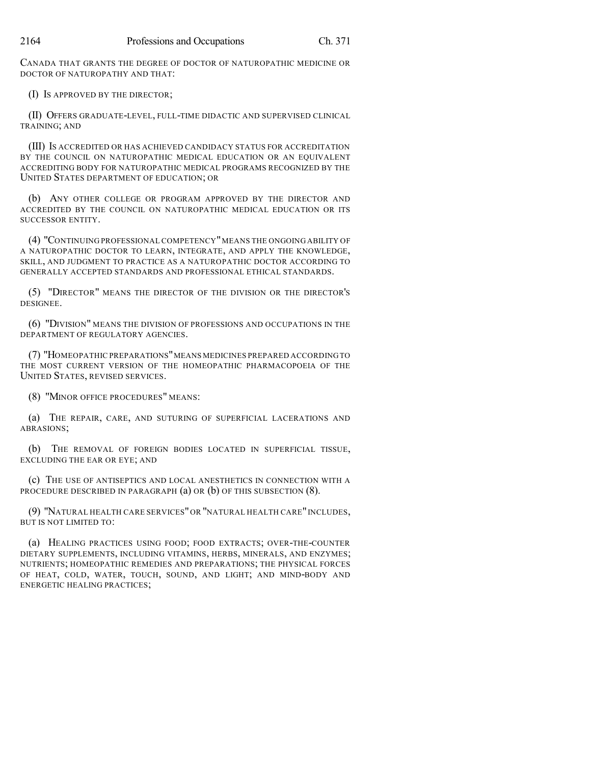CANADA THAT GRANTS THE DEGREE OF DOCTOR OF NATUROPATHIC MEDICINE OR DOCTOR OF NATUROPATHY AND THAT:

(I) IS APPROVED BY THE DIRECTOR;

(II) OFFERS GRADUATE-LEVEL, FULL-TIME DIDACTIC AND SUPERVISED CLINICAL TRAINING; AND

(III) IS ACCREDITED OR HAS ACHIEVED CANDIDACY STATUS FOR ACCREDITATION BY THE COUNCIL ON NATUROPATHIC MEDICAL EDUCATION OR AN EQUIVALENT ACCREDITING BODY FOR NATUROPATHIC MEDICAL PROGRAMS RECOGNIZED BY THE UNITED STATES DEPARTMENT OF EDUCATION; OR

(b) ANY OTHER COLLEGE OR PROGRAM APPROVED BY THE DIRECTOR AND ACCREDITED BY THE COUNCIL ON NATUROPATHIC MEDICAL EDUCATION OR ITS SUCCESSOR ENTITY.

(4) "CONTINUING PROFESSIONAL COMPETENCY"MEANS THE ONGOING ABILITY OF A NATUROPATHIC DOCTOR TO LEARN, INTEGRATE, AND APPLY THE KNOWLEDGE, SKILL, AND JUDGMENT TO PRACTICE AS A NATUROPATHIC DOCTOR ACCORDING TO GENERALLY ACCEPTED STANDARDS AND PROFESSIONAL ETHICAL STANDARDS.

(5) "DIRECTOR" MEANS THE DIRECTOR OF THE DIVISION OR THE DIRECTOR'S DESIGNEE.

(6) "DIVISION" MEANS THE DIVISION OF PROFESSIONS AND OCCUPATIONS IN THE DEPARTMENT OF REGULATORY AGENCIES.

(7) "HOMEOPATHIC PREPARATIONS"MEANS MEDICINES PREPARED ACCORDING TO THE MOST CURRENT VERSION OF THE HOMEOPATHIC PHARMACOPOEIA OF THE UNITED STATES, REVISED SERVICES.

(8) "MINOR OFFICE PROCEDURES" MEANS:

(a) THE REPAIR, CARE, AND SUTURING OF SUPERFICIAL LACERATIONS AND ABRASIONS;

(b) THE REMOVAL OF FOREIGN BODIES LOCATED IN SUPERFICIAL TISSUE, EXCLUDING THE EAR OR EYE; AND

(c) THE USE OF ANTISEPTICS AND LOCAL ANESTHETICS IN CONNECTION WITH A PROCEDURE DESCRIBED IN PARAGRAPH (a) OR (b) OF THIS SUBSECTION (8).

(9) "NATURAL HEALTH CARE SERVICES"OR "NATURAL HEALTH CARE" INCLUDES, BUT IS NOT LIMITED TO:

(a) HEALING PRACTICES USING FOOD; FOOD EXTRACTS; OVER-THE-COUNTER DIETARY SUPPLEMENTS, INCLUDING VITAMINS, HERBS, MINERALS, AND ENZYMES; NUTRIENTS; HOMEOPATHIC REMEDIES AND PREPARATIONS; THE PHYSICAL FORCES OF HEAT, COLD, WATER, TOUCH, SOUND, AND LIGHT; AND MIND-BODY AND ENERGETIC HEALING PRACTICES;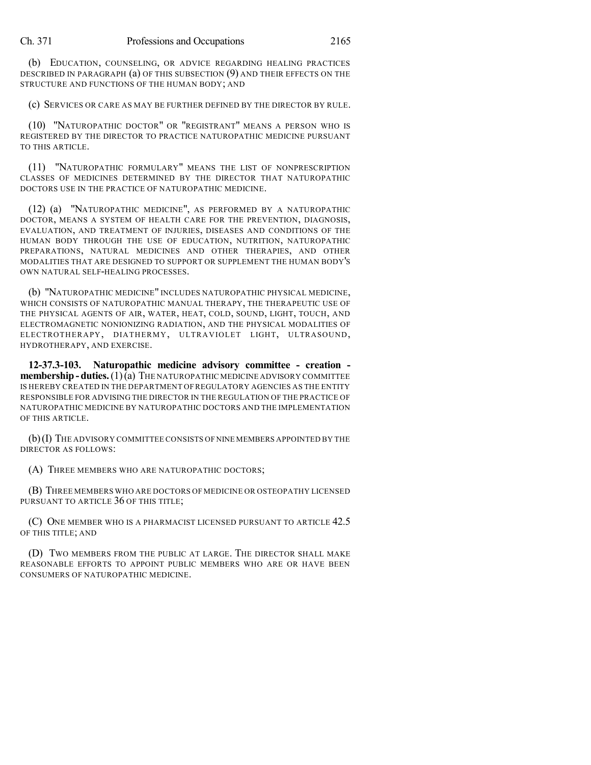(b) EDUCATION, COUNSELING, OR ADVICE REGARDING HEALING PRACTICES DESCRIBED IN PARAGRAPH (a) OF THIS SUBSECTION (9) AND THEIR EFFECTS ON THE STRUCTURE AND FUNCTIONS OF THE HUMAN BODY; AND

(c) SERVICES OR CARE AS MAY BE FURTHER DEFINED BY THE DIRECTOR BY RULE.

(10) "NATUROPATHIC DOCTOR" OR "REGISTRANT" MEANS A PERSON WHO IS REGISTERED BY THE DIRECTOR TO PRACTICE NATUROPATHIC MEDICINE PURSUANT TO THIS ARTICLE.

(11) "NATUROPATHIC FORMULARY" MEANS THE LIST OF NONPRESCRIPTION CLASSES OF MEDICINES DETERMINED BY THE DIRECTOR THAT NATUROPATHIC DOCTORS USE IN THE PRACTICE OF NATUROPATHIC MEDICINE.

(12) (a) "NATUROPATHIC MEDICINE", AS PERFORMED BY A NATUROPATHIC DOCTOR, MEANS A SYSTEM OF HEALTH CARE FOR THE PREVENTION, DIAGNOSIS, EVALUATION, AND TREATMENT OF INJURIES, DISEASES AND CONDITIONS OF THE HUMAN BODY THROUGH THE USE OF EDUCATION, NUTRITION, NATUROPATHIC PREPARATIONS, NATURAL MEDICINES AND OTHER THERAPIES, AND OTHER MODALITIES THAT ARE DESIGNED TO SUPPORT OR SUPPLEMENT THE HUMAN BODY'S OWN NATURAL SELF-HEALING PROCESSES.

(b) "NATUROPATHIC MEDICINE" INCLUDES NATUROPATHIC PHYSICAL MEDICINE, WHICH CONSISTS OF NATUROPATHIC MANUAL THERAPY, THE THERAPEUTIC USE OF THE PHYSICAL AGENTS OF AIR, WATER, HEAT, COLD, SOUND, LIGHT, TOUCH, AND ELECTROMAGNETIC NONIONIZING RADIATION, AND THE PHYSICAL MODALITIES OF ELECTROTHERAPY, DIATHERMY, ULTRAVIOLET LIGHT, ULTRASOUND, HYDROTHERAPY, AND EXERCISE.

**12-37.3-103. Naturopathic medicine advisory committee - creation membership - duties.** (1)(a) THE NATUROPATHIC MEDICINE ADVISORY COMMITTEE IS HEREBY CREATED IN THE DEPARTMENT OF REGULATORY AGENCIES AS THE ENTITY RESPONSIBLE FOR ADVISING THE DIRECTOR IN THE REGULATION OF THE PRACTICE OF NATUROPATHIC MEDICINE BY NATUROPATHIC DOCTORS AND THE IMPLEMENTATION OF THIS ARTICLE.

(b)(I) THE ADVISORY COMMITTEE CONSISTS OF NINE MEMBERS APPOINTED BY THE DIRECTOR AS FOLLOWS:

(A) THREE MEMBERS WHO ARE NATUROPATHIC DOCTORS;

(B) THREE MEMBERS WHO ARE DOCTORS OF MEDICINE OR OSTEOPATHY LICENSED PURSUANT TO ARTICLE 36 OF THIS TITLE:

(C) ONE MEMBER WHO IS A PHARMACIST LICENSED PURSUANT TO ARTICLE 42.5 OF THIS TITLE; AND

(D) TWO MEMBERS FROM THE PUBLIC AT LARGE. THE DIRECTOR SHALL MAKE REASONABLE EFFORTS TO APPOINT PUBLIC MEMBERS WHO ARE OR HAVE BEEN CONSUMERS OF NATUROPATHIC MEDICINE.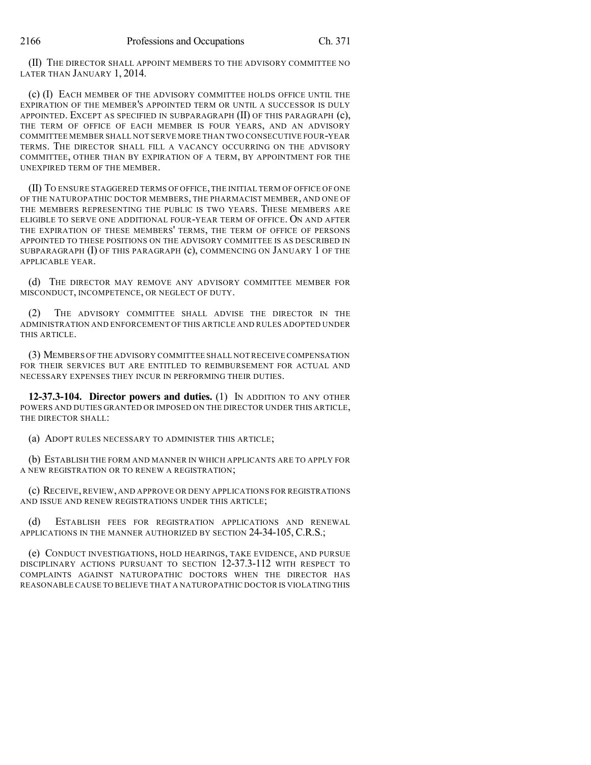(II) THE DIRECTOR SHALL APPOINT MEMBERS TO THE ADVISORY COMMITTEE NO LATER THAN JANUARY 1, 2014.

(c) (I) EACH MEMBER OF THE ADVISORY COMMITTEE HOLDS OFFICE UNTIL THE EXPIRATION OF THE MEMBER'S APPOINTED TERM OR UNTIL A SUCCESSOR IS DULY APPOINTED. EXCEPT AS SPECIFIED IN SUBPARAGRAPH (II) OF THIS PARAGRAPH (c), THE TERM OF OFFICE OF EACH MEMBER IS FOUR YEARS, AND AN ADVISORY COMMITTEE MEMBER SHALL NOT SERVE MORE THAN TWO CONSECUTIVE FOUR-YEAR TERMS. THE DIRECTOR SHALL FILL A VACANCY OCCURRING ON THE ADVISORY COMMITTEE, OTHER THAN BY EXPIRATION OF A TERM, BY APPOINTMENT FOR THE UNEXPIRED TERM OF THE MEMBER.

(II) TO ENSURE STAGGERED TERMS OF OFFICE,THE INITIAL TERM OF OFFICE OF ONE OF THE NATUROPATHIC DOCTOR MEMBERS, THE PHARMACIST MEMBER, AND ONE OF THE MEMBERS REPRESENTING THE PUBLIC IS TWO YEARS. THESE MEMBERS ARE ELIGIBLE TO SERVE ONE ADDITIONAL FOUR-YEAR TERM OF OFFICE. ON AND AFTER THE EXPIRATION OF THESE MEMBERS' TERMS, THE TERM OF OFFICE OF PERSONS APPOINTED TO THESE POSITIONS ON THE ADVISORY COMMITTEE IS AS DESCRIBED IN SUBPARAGRAPH  $(I)$  OF THIS PARAGRAPH  $(c)$ , COMMENCING ON JANUARY 1 OF THE APPLICABLE YEAR.

(d) THE DIRECTOR MAY REMOVE ANY ADVISORY COMMITTEE MEMBER FOR MISCONDUCT, INCOMPETENCE, OR NEGLECT OF DUTY.

(2) THE ADVISORY COMMITTEE SHALL ADVISE THE DIRECTOR IN THE ADMINISTRATION AND ENFORCEMENT OF THIS ARTICLE AND RULES ADOPTED UNDER THIS ARTICLE.

(3) MEMBERS OF THE ADVISORY COMMITTEE SHALL NOT RECEIVE COMPENSATION FOR THEIR SERVICES BUT ARE ENTITLED TO REIMBURSEMENT FOR ACTUAL AND NECESSARY EXPENSES THEY INCUR IN PERFORMING THEIR DUTIES.

**12-37.3-104. Director powers and duties.** (1) IN ADDITION TO ANY OTHER POWERS AND DUTIES GRANTED OR IMPOSED ON THE DIRECTOR UNDER THIS ARTICLE, THE DIRECTOR SHALL:

(a) ADOPT RULES NECESSARY TO ADMINISTER THIS ARTICLE;

(b) ESTABLISH THE FORM AND MANNER IN WHICH APPLICANTS ARE TO APPLY FOR A NEW REGISTRATION OR TO RENEW A REGISTRATION;

(c) RECEIVE, REVIEW, AND APPROVE OR DENY APPLICATIONS FOR REGISTRATIONS AND ISSUE AND RENEW REGISTRATIONS UNDER THIS ARTICLE;

(d) ESTABLISH FEES FOR REGISTRATION APPLICATIONS AND RENEWAL APPLICATIONS IN THE MANNER AUTHORIZED BY SECTION 24-34-105, C.R.S.;

(e) CONDUCT INVESTIGATIONS, HOLD HEARINGS, TAKE EVIDENCE, AND PURSUE DISCIPLINARY ACTIONS PURSUANT TO SECTION 12-37.3-112 WITH RESPECT TO COMPLAINTS AGAINST NATUROPATHIC DOCTORS WHEN THE DIRECTOR HAS REASONABLE CAUSE TO BELIEVE THAT A NATUROPATHIC DOCTOR IS VIOLATING THIS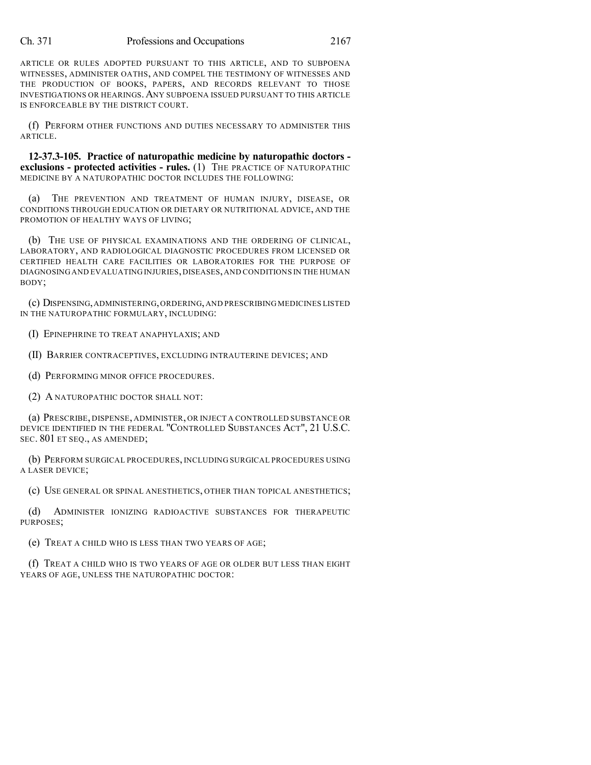ARTICLE OR RULES ADOPTED PURSUANT TO THIS ARTICLE, AND TO SUBPOENA WITNESSES, ADMINISTER OATHS, AND COMPEL THE TESTIMONY OF WITNESSES AND THE PRODUCTION OF BOOKS, PAPERS, AND RECORDS RELEVANT TO THOSE INVESTIGATIONS OR HEARINGS.ANY SUBPOENA ISSUED PURSUANT TO THIS ARTICLE IS ENFORCEABLE BY THE DISTRICT COURT.

(f) PERFORM OTHER FUNCTIONS AND DUTIES NECESSARY TO ADMINISTER THIS ARTICLE.

**12-37.3-105. Practice of naturopathic medicine by naturopathic doctors exclusions - protected activities - rules.** (1) THE PRACTICE OF NATUROPATHIC MEDICINE BY A NATUROPATHIC DOCTOR INCLUDES THE FOLLOWING:

(a) THE PREVENTION AND TREATMENT OF HUMAN INJURY, DISEASE, OR CONDITIONS THROUGH EDUCATION OR DIETARY OR NUTRITIONAL ADVICE, AND THE PROMOTION OF HEALTHY WAYS OF LIVING;

(b) THE USE OF PHYSICAL EXAMINATIONS AND THE ORDERING OF CLINICAL, LABORATORY, AND RADIOLOGICAL DIAGNOSTIC PROCEDURES FROM LICENSED OR CERTIFIED HEALTH CARE FACILITIES OR LABORATORIES FOR THE PURPOSE OF DIAGNOSING AND EVALUATING INJURIES, DISEASES, AND CONDITIONS IN THE HUMAN BODY;

(c) DISPENSING,ADMINISTERING,ORDERING,AND PRESCRIBING MEDICINES LISTED IN THE NATUROPATHIC FORMULARY, INCLUDING:

(I) EPINEPHRINE TO TREAT ANAPHYLAXIS; AND

(II) BARRIER CONTRACEPTIVES, EXCLUDING INTRAUTERINE DEVICES; AND

(d) PERFORMING MINOR OFFICE PROCEDURES.

(2) A NATUROPATHIC DOCTOR SHALL NOT:

(a) PRESCRIBE, DISPENSE, ADMINISTER, OR INJECT A CONTROLLED SUBSTANCE OR DEVICE IDENTIFIED IN THE FEDERAL "CONTROLLED SUBSTANCES ACT", 21 U.S.C. SEC. 801 ET SEQ., AS AMENDED;

(b) PERFORM SURGICAL PROCEDURES, INCLUDING SURGICAL PROCEDURES USING A LASER DEVICE;

(c) USE GENERAL OR SPINAL ANESTHETICS, OTHER THAN TOPICAL ANESTHETICS;

(d) ADMINISTER IONIZING RADIOACTIVE SUBSTANCES FOR THERAPEUTIC PURPOSES;

(e) TREAT A CHILD WHO IS LESS THAN TWO YEARS OF AGE;

(f) TREAT A CHILD WHO IS TWO YEARS OF AGE OR OLDER BUT LESS THAN EIGHT YEARS OF AGE, UNLESS THE NATUROPATHIC DOCTOR: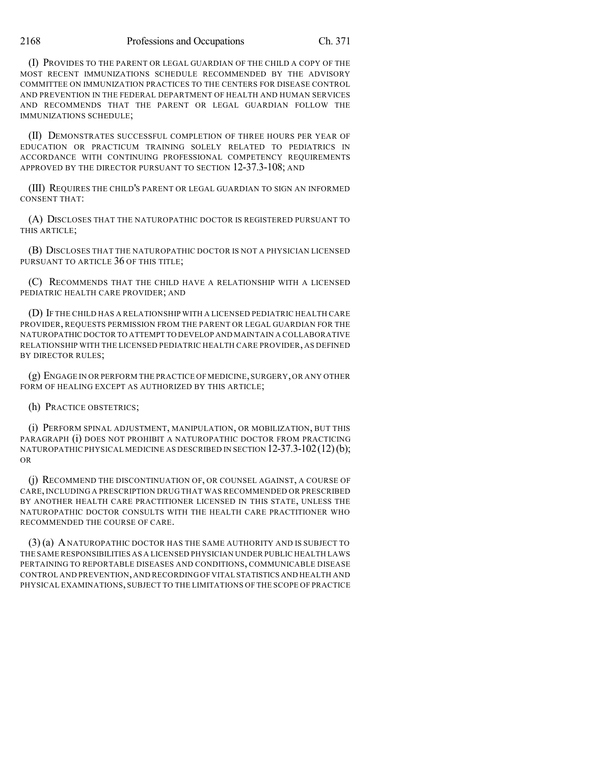(I) PROVIDES TO THE PARENT OR LEGAL GUARDIAN OF THE CHILD A COPY OF THE MOST RECENT IMMUNIZATIONS SCHEDULE RECOMMENDED BY THE ADVISORY COMMITTEE ON IMMUNIZATION PRACTICES TO THE CENTERS FOR DISEASE CONTROL AND PREVENTION IN THE FEDERAL DEPARTMENT OF HEALTH AND HUMAN SERVICES AND RECOMMENDS THAT THE PARENT OR LEGAL GUARDIAN FOLLOW THE IMMUNIZATIONS SCHEDULE;

(II) DEMONSTRATES SUCCESSFUL COMPLETION OF THREE HOURS PER YEAR OF EDUCATION OR PRACTICUM TRAINING SOLELY RELATED TO PEDIATRICS IN ACCORDANCE WITH CONTINUING PROFESSIONAL COMPETENCY REQUIREMENTS APPROVED BY THE DIRECTOR PURSUANT TO SECTION 12-37.3-108; AND

(III) REQUIRES THE CHILD'S PARENT OR LEGAL GUARDIAN TO SIGN AN INFORMED CONSENT THAT:

(A) DISCLOSES THAT THE NATUROPATHIC DOCTOR IS REGISTERED PURSUANT TO THIS ARTICLE;

(B) DISCLOSES THAT THE NATUROPATHIC DOCTOR IS NOT A PHYSICIAN LICENSED PURSUANT TO ARTICLE 36 OF THIS TITLE;

(C) RECOMMENDS THAT THE CHILD HAVE A RELATIONSHIP WITH A LICENSED PEDIATRIC HEALTH CARE PROVIDER; AND

(D) IF THE CHILD HAS A RELATIONSHIP WITH A LICENSED PEDIATRIC HEALTH CARE PROVIDER, REQUESTS PERMISSION FROM THE PARENT OR LEGAL GUARDIAN FOR THE NATUROPATHIC DOCTOR TO ATTEMPT TO DEVELOP AND MAINTAIN A COLLABORATIVE RELATIONSHIP WITH THE LICENSED PEDIATRIC HEALTH CARE PROVIDER, AS DEFINED BY DIRECTOR RULES;

(g) ENGAGE IN OR PERFORM THE PRACTICE OF MEDICINE,SURGERY,OR ANY OTHER FORM OF HEALING EXCEPT AS AUTHORIZED BY THIS ARTICLE;

(h) PRACTICE OBSTETRICS;

(i) PERFORM SPINAL ADJUSTMENT, MANIPULATION, OR MOBILIZATION, BUT THIS PARAGRAPH (i) DOES NOT PROHIBIT A NATUROPATHIC DOCTOR FROM PRACTICING NATUROPATHIC PHYSICAL MEDICINE AS DESCRIBED IN SECTION  $12-37.3-102(12)(b)$ ; OR

(j) RECOMMEND THE DISCONTINUATION OF, OR COUNSEL AGAINST, A COURSE OF CARE, INCLUDING A PRESCRIPTION DRUG THAT WAS RECOMMENDED OR PRESCRIBED BY ANOTHER HEALTH CARE PRACTITIONER LICENSED IN THIS STATE, UNLESS THE NATUROPATHIC DOCTOR CONSULTS WITH THE HEALTH CARE PRACTITIONER WHO RECOMMENDED THE COURSE OF CARE.

(3) (a) ANATUROPATHIC DOCTOR HAS THE SAME AUTHORITY AND IS SUBJECT TO THE SAME RESPONSIBILITIES AS A LICENSED PHYSICIAN UNDER PUBLIC HEALTH LAWS PERTAINING TO REPORTABLE DISEASES AND CONDITIONS, COMMUNICABLE DISEASE CONTROL AND PREVENTION,AND RECORDING OF VITAL STATISTICS AND HEALTH AND PHYSICAL EXAMINATIONS, SUBJECT TO THE LIMITATIONS OF THE SCOPE OF PRACTICE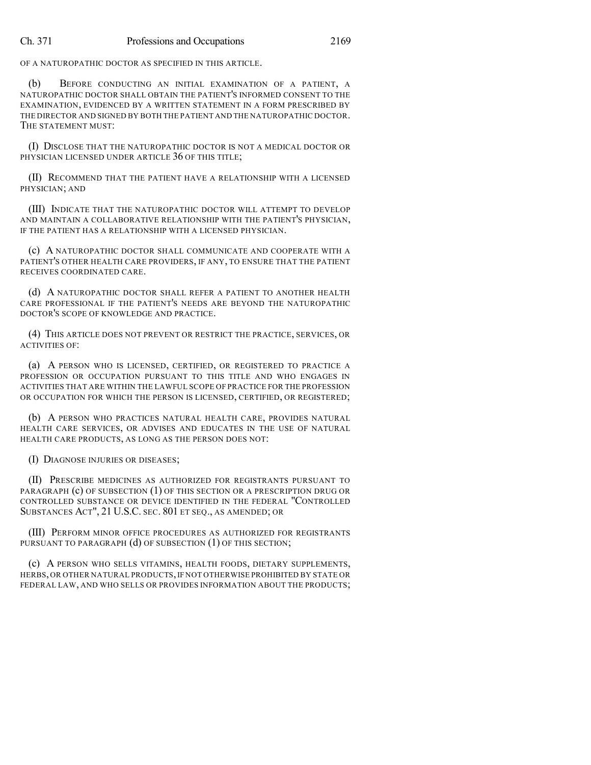OF A NATUROPATHIC DOCTOR AS SPECIFIED IN THIS ARTICLE.

(b) BEFORE CONDUCTING AN INITIAL EXAMINATION OF A PATIENT, A NATUROPATHIC DOCTOR SHALL OBTAIN THE PATIENT'S INFORMED CONSENT TO THE EXAMINATION, EVIDENCED BY A WRITTEN STATEMENT IN A FORM PRESCRIBED BY THE DIRECTOR AND SIGNED BY BOTH THE PATIENT AND THE NATUROPATHIC DOCTOR. THE STATEMENT MUST:

(I) DISCLOSE THAT THE NATUROPATHIC DOCTOR IS NOT A MEDICAL DOCTOR OR PHYSICIAN LICENSED UNDER ARTICLE 36 OF THIS TITLE:

(II) RECOMMEND THAT THE PATIENT HAVE A RELATIONSHIP WITH A LICENSED PHYSICIAN; AND

(III) INDICATE THAT THE NATUROPATHIC DOCTOR WILL ATTEMPT TO DEVELOP AND MAINTAIN A COLLABORATIVE RELATIONSHIP WITH THE PATIENT'S PHYSICIAN, IF THE PATIENT HAS A RELATIONSHIP WITH A LICENSED PHYSICIAN.

(c) A NATUROPATHIC DOCTOR SHALL COMMUNICATE AND COOPERATE WITH A PATIENT'S OTHER HEALTH CARE PROVIDERS, IF ANY, TO ENSURE THAT THE PATIENT RECEIVES COORDINATED CARE.

(d) A NATUROPATHIC DOCTOR SHALL REFER A PATIENT TO ANOTHER HEALTH CARE PROFESSIONAL IF THE PATIENT'S NEEDS ARE BEYOND THE NATUROPATHIC DOCTOR'S SCOPE OF KNOWLEDGE AND PRACTICE.

(4) THIS ARTICLE DOES NOT PREVENT OR RESTRICT THE PRACTICE, SERVICES, OR ACTIVITIES OF:

(a) A PERSON WHO IS LICENSED, CERTIFIED, OR REGISTERED TO PRACTICE A PROFESSION OR OCCUPATION PURSUANT TO THIS TITLE AND WHO ENGAGES IN ACTIVITIES THAT ARE WITHIN THE LAWFUL SCOPE OF PRACTICE FOR THE PROFESSION OR OCCUPATION FOR WHICH THE PERSON IS LICENSED, CERTIFIED, OR REGISTERED;

(b) A PERSON WHO PRACTICES NATURAL HEALTH CARE, PROVIDES NATURAL HEALTH CARE SERVICES, OR ADVISES AND EDUCATES IN THE USE OF NATURAL HEALTH CARE PRODUCTS, AS LONG AS THE PERSON DOES NOT:

(I) DIAGNOSE INJURIES OR DISEASES;

(II) PRESCRIBE MEDICINES AS AUTHORIZED FOR REGISTRANTS PURSUANT TO PARAGRAPH (c) OF SUBSECTION (1) OF THIS SECTION OR A PRESCRIPTION DRUG OR CONTROLLED SUBSTANCE OR DEVICE IDENTIFIED IN THE FEDERAL "CONTROLLED SUBSTANCES ACT", 21 U.S.C. SEC. 801 ET SEQ., AS AMENDED; OR

(III) PERFORM MINOR OFFICE PROCEDURES AS AUTHORIZED FOR REGISTRANTS PURSUANT TO PARAGRAPH  $(d)$  OF SUBSECTION  $(1)$  OF THIS SECTION;

(c) A PERSON WHO SELLS VITAMINS, HEALTH FOODS, DIETARY SUPPLEMENTS, HERBS, OR OTHER NATURAL PRODUCTS,IF NOT OTHERWISE PROHIBITED BY STATE OR FEDERAL LAW, AND WHO SELLS OR PROVIDES INFORMATION ABOUT THE PRODUCTS;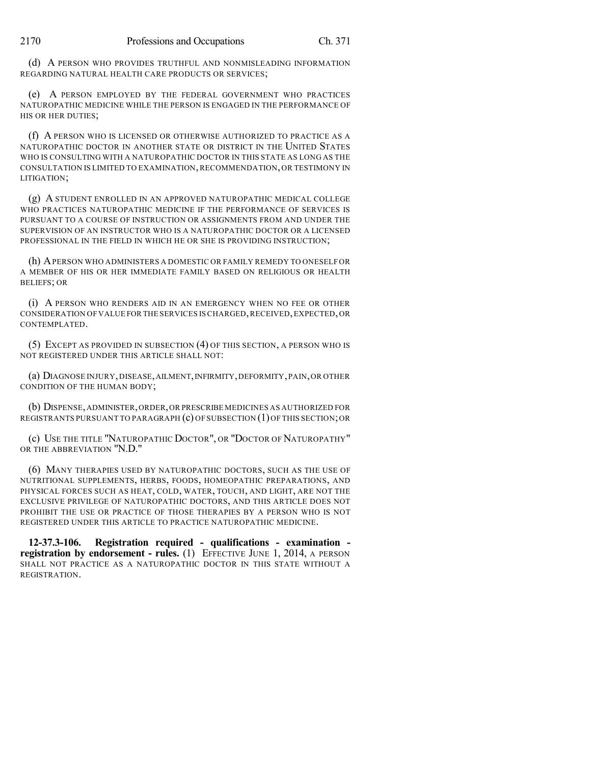(d) A PERSON WHO PROVIDES TRUTHFUL AND NONMISLEADING INFORMATION REGARDING NATURAL HEALTH CARE PRODUCTS OR SERVICES;

(e) A PERSON EMPLOYED BY THE FEDERAL GOVERNMENT WHO PRACTICES NATUROPATHIC MEDICINE WHILE THE PERSON IS ENGAGED IN THE PERFORMANCE OF HIS OR HER DUTIES;

(f) A PERSON WHO IS LICENSED OR OTHERWISE AUTHORIZED TO PRACTICE AS A NATUROPATHIC DOCTOR IN ANOTHER STATE OR DISTRICT IN THE UNITED STATES WHO IS CONSULTING WITH A NATUROPATHIC DOCTOR IN THIS STATE AS LONG AS THE CONSULTATION IS LIMITED TO EXAMINATION, RECOMMENDATION, OR TESTIMONY IN LITIGATION;

(g) A STUDENT ENROLLED IN AN APPROVED NATUROPATHIC MEDICAL COLLEGE WHO PRACTICES NATUROPATHIC MEDICINE IF THE PERFORMANCE OF SERVICES IS PURSUANT TO A COURSE OF INSTRUCTION OR ASSIGNMENTS FROM AND UNDER THE SUPERVISION OF AN INSTRUCTOR WHO IS A NATUROPATHIC DOCTOR OR A LICENSED PROFESSIONAL IN THE FIELD IN WHICH HE OR SHE IS PROVIDING INSTRUCTION;

(h) APERSON WHO ADMINISTERS A DOMESTIC OR FAMILY REMEDY TO ONESELF OR A MEMBER OF HIS OR HER IMMEDIATE FAMILY BASED ON RELIGIOUS OR HEALTH BELIEFS; OR

(i) A PERSON WHO RENDERS AID IN AN EMERGENCY WHEN NO FEE OR OTHER CONSIDERATION OF VALUE FOR THE SERVICES ISCHARGED,RECEIVED,EXPECTED,OR CONTEMPLATED.

(5) EXCEPT AS PROVIDED IN SUBSECTION (4) OF THIS SECTION, A PERSON WHO IS NOT REGISTERED UNDER THIS ARTICLE SHALL NOT:

(a) DIAGNOSE INJURY,DISEASE,AILMENT,INFIRMITY,DEFORMITY,PAIN,OR OTHER CONDITION OF THE HUMAN BODY;

(b) DISPENSE,ADMINISTER,ORDER,OR PRESCRIBE MEDICINES AS AUTHORIZED FOR REGISTRANTS PURSUANT TO PARAGRAPH  $(c)$  OF SUBSECTION  $(1)$  OF THIS SECTION; OR

(c) USE THE TITLE "NATUROPATHIC DOCTOR", OR "DOCTOR OF NATUROPATHY" OR THE ABBREVIATION "N.D."

(6) MANY THERAPIES USED BY NATUROPATHIC DOCTORS, SUCH AS THE USE OF NUTRITIONAL SUPPLEMENTS, HERBS, FOODS, HOMEOPATHIC PREPARATIONS, AND PHYSICAL FORCES SUCH AS HEAT, COLD, WATER, TOUCH, AND LIGHT, ARE NOT THE EXCLUSIVE PRIVILEGE OF NATUROPATHIC DOCTORS, AND THIS ARTICLE DOES NOT PROHIBIT THE USE OR PRACTICE OF THOSE THERAPIES BY A PERSON WHO IS NOT REGISTERED UNDER THIS ARTICLE TO PRACTICE NATUROPATHIC MEDICINE.

**12-37.3-106. Registration required - qualifications - examination registration by endorsement - rules.** (1) EFFECTIVE JUNE 1, 2014, A PERSON SHALL NOT PRACTICE AS A NATUROPATHIC DOCTOR IN THIS STATE WITHOUT A REGISTRATION.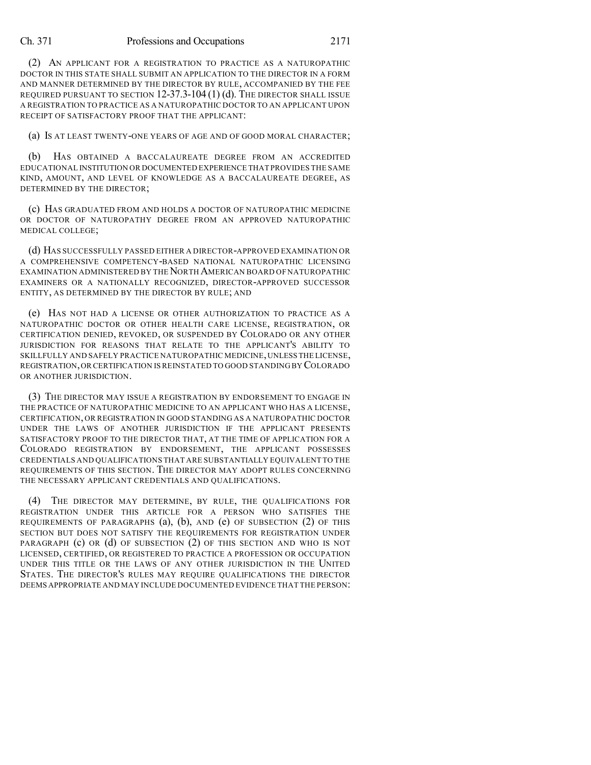(2) AN APPLICANT FOR A REGISTRATION TO PRACTICE AS A NATUROPATHIC DOCTOR IN THIS STATE SHALL SUBMIT AN APPLICATION TO THE DIRECTOR IN A FORM AND MANNER DETERMINED BY THE DIRECTOR BY RULE, ACCOMPANIED BY THE FEE REQUIRED PURSUANT TO SECTION 12-37.3-104 (1) (d). THE DIRECTOR SHALL ISSUE A REGISTRATION TO PRACTICE AS A NATUROPATHIC DOCTOR TO AN APPLICANT UPON RECEIPT OF SATISFACTORY PROOF THAT THE APPLICANT:

(a) IS AT LEAST TWENTY-ONE YEARS OF AGE AND OF GOOD MORAL CHARACTER;

(b) HAS OBTAINED A BACCALAUREATE DEGREE FROM AN ACCREDITED EDUCATIONAL INSTITUTION OR DOCUMENTED EXPERIENCE THAT PROVIDES THE SAME KIND, AMOUNT, AND LEVEL OF KNOWLEDGE AS A BACCALAUREATE DEGREE, AS DETERMINED BY THE DIRECTOR;

(c) HAS GRADUATED FROM AND HOLDS A DOCTOR OF NATUROPATHIC MEDICINE OR DOCTOR OF NATUROPATHY DEGREE FROM AN APPROVED NATUROPATHIC MEDICAL COLLEGE;

(d) HAS SUCCESSFULLY PASSED EITHER A DIRECTOR-APPROVED EXAMINATION OR A COMPREHENSIVE COMPETENCY-BASED NATIONAL NATUROPATHIC LICENSING EXAMINATION ADMINISTERED BY THE NORTH AMERICAN BOARD OF NATUROPATHIC EXAMINERS OR A NATIONALLY RECOGNIZED, DIRECTOR-APPROVED SUCCESSOR ENTITY, AS DETERMINED BY THE DIRECTOR BY RULE; AND

(e) HAS NOT HAD A LICENSE OR OTHER AUTHORIZATION TO PRACTICE AS A NATUROPATHIC DOCTOR OR OTHER HEALTH CARE LICENSE, REGISTRATION, OR CERTIFICATION DENIED, REVOKED, OR SUSPENDED BY COLORADO OR ANY OTHER JURISDICTION FOR REASONS THAT RELATE TO THE APPLICANT'S ABILITY TO SKILLFULLY AND SAFELY PRACTICE NATUROPATHIC MEDICINE, UNLESS THE LICENSE, REGISTRATION,OR CERTIFICATION IS REINSTATED TO GOOD STANDING BY COLORADO OR ANOTHER JURISDICTION.

(3) THE DIRECTOR MAY ISSUE A REGISTRATION BY ENDORSEMENT TO ENGAGE IN THE PRACTICE OF NATUROPATHIC MEDICINE TO AN APPLICANT WHO HAS A LICENSE, CERTIFICATION, OR REGISTRATION IN GOOD STANDING AS A NATUROPATHIC DOCTOR UNDER THE LAWS OF ANOTHER JURISDICTION IF THE APPLICANT PRESENTS SATISFACTORY PROOF TO THE DIRECTOR THAT, AT THE TIME OF APPLICATION FOR A COLORADO REGISTRATION BY ENDORSEMENT, THE APPLICANT POSSESSES CREDENTIALS AND QUALIFICATIONS THAT ARE SUBSTANTIALLY EQUIVALENT TO THE REQUIREMENTS OF THIS SECTION. THE DIRECTOR MAY ADOPT RULES CONCERNING THE NECESSARY APPLICANT CREDENTIALS AND QUALIFICATIONS.

(4) THE DIRECTOR MAY DETERMINE, BY RULE, THE QUALIFICATIONS FOR REGISTRATION UNDER THIS ARTICLE FOR A PERSON WHO SATISFIES THE REQUIREMENTS OF PARAGRAPHS (a), (b), AND (e) OF SUBSECTION (2) OF THIS SECTION BUT DOES NOT SATISFY THE REQUIREMENTS FOR REGISTRATION UNDER PARAGRAPH (c) OR (d) OF SUBSECTION (2) OF THIS SECTION AND WHO IS NOT LICENSED, CERTIFIED, OR REGISTERED TO PRACTICE A PROFESSION OR OCCUPATION UNDER THIS TITLE OR THE LAWS OF ANY OTHER JURISDICTION IN THE UNITED STATES. THE DIRECTOR'S RULES MAY REQUIRE QUALIFICATIONS THE DIRECTOR DEEMS APPROPRIATE AND MAY INCLUDE DOCUMENTED EVIDENCE THAT THE PERSON: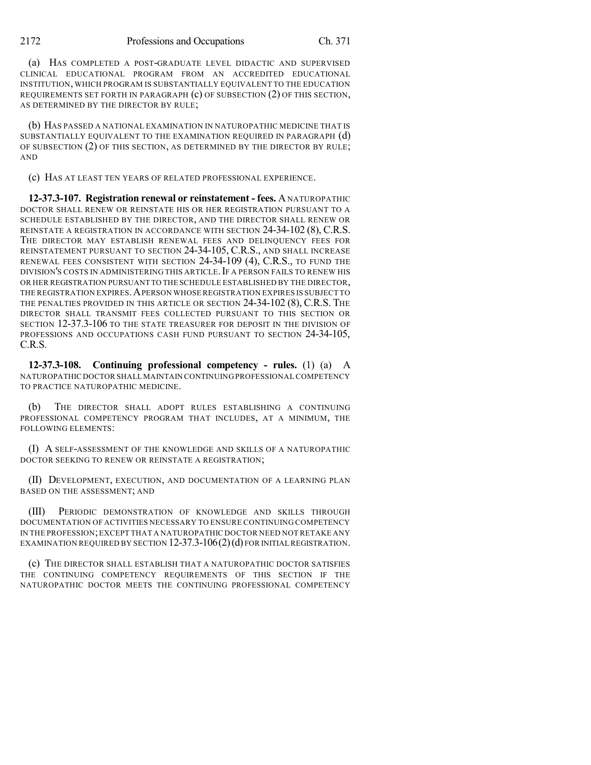(a) HAS COMPLETED A POST-GRADUATE LEVEL DIDACTIC AND SUPERVISED CLINICAL EDUCATIONAL PROGRAM FROM AN ACCREDITED EDUCATIONAL INSTITUTION, WHICH PROGRAM IS SUBSTANTIALLY EQUIVALENT TO THE EDUCATION REQUIREMENTS SET FORTH IN PARAGRAPH (c) OF SUBSECTION (2) OF THIS SECTION, AS DETERMINED BY THE DIRECTOR BY RULE;

(b) HAS PASSED A NATIONAL EXAMINATION IN NATUROPATHIC MEDICINE THAT IS SUBSTANTIALLY EQUIVALENT TO THE EXAMINATION REQUIRED IN PARAGRAPH (d) OF SUBSECTION (2) OF THIS SECTION, AS DETERMINED BY THE DIRECTOR BY RULE; AND

(c) HAS AT LEAST TEN YEARS OF RELATED PROFESSIONAL EXPERIENCE.

**12-37.3-107. Registration renewal or reinstatement - fees.** ANATUROPATHIC DOCTOR SHALL RENEW OR REINSTATE HIS OR HER REGISTRATION PURSUANT TO A SCHEDULE ESTABLISHED BY THE DIRECTOR, AND THE DIRECTOR SHALL RENEW OR REINSTATE A REGISTRATION IN ACCORDANCE WITH SECTION 24-34-102 (8), C.R.S. THE DIRECTOR MAY ESTABLISH RENEWAL FEES AND DELINQUENCY FEES FOR REINSTATEMENT PURSUANT TO SECTION 24-34-105, C.R.S., AND SHALL INCREASE RENEWAL FEES CONSISTENT WITH SECTION 24-34-109 (4), C.R.S., TO FUND THE DIVISION'S COSTS IN ADMINISTERING THIS ARTICLE. IF A PERSON FAILS TO RENEW HIS OR HER REGISTRATION PURSUANT TO THE SCHEDULE ESTABLISHED BY THE DIRECTOR, THE REGISTRATION EXPIRES.APERSON WHOSE REGISTRATION EXPIRES IS SUBJECT TO THE PENALTIES PROVIDED IN THIS ARTICLE OR SECTION 24-34-102 (8), C.R.S. THE DIRECTOR SHALL TRANSMIT FEES COLLECTED PURSUANT TO THIS SECTION OR SECTION 12-37.3-106 TO THE STATE TREASURER FOR DEPOSIT IN THE DIVISION OF PROFESSIONS AND OCCUPATIONS CASH FUND PURSUANT TO SECTION 24-34-105, C.R.S.

**12-37.3-108. Continuing professional competency - rules.** (1) (a) A NATUROPATHIC DOCTOR SHALL MAINTAIN CONTINUING PROFESSIONAL COMPETENCY TO PRACTICE NATUROPATHIC MEDICINE.

(b) THE DIRECTOR SHALL ADOPT RULES ESTABLISHING A CONTINUING PROFESSIONAL COMPETENCY PROGRAM THAT INCLUDES, AT A MINIMUM, THE FOLLOWING ELEMENTS:

(I) A SELF-ASSESSMENT OF THE KNOWLEDGE AND SKILLS OF A NATUROPATHIC DOCTOR SEEKING TO RENEW OR REINSTATE A REGISTRATION;

(II) DEVELOPMENT, EXECUTION, AND DOCUMENTATION OF A LEARNING PLAN BASED ON THE ASSESSMENT; AND

(III) PERIODIC DEMONSTRATION OF KNOWLEDGE AND SKILLS THROUGH DOCUMENTATION OF ACTIVITIES NECESSARY TO ENSURE CONTINUING COMPETENCY IN THE PROFESSION;EXCEPT THAT A NATUROPATHIC DOCTOR NEED NOT RETAKE ANY EXAMINATION REQUIRED BY SECTION  $12-37.3-106(2)(d)$  for initial registration.

(c) THE DIRECTOR SHALL ESTABLISH THAT A NATUROPATHIC DOCTOR SATISFIES THE CONTINUING COMPETENCY REQUIREMENTS OF THIS SECTION IF THE NATUROPATHIC DOCTOR MEETS THE CONTINUING PROFESSIONAL COMPETENCY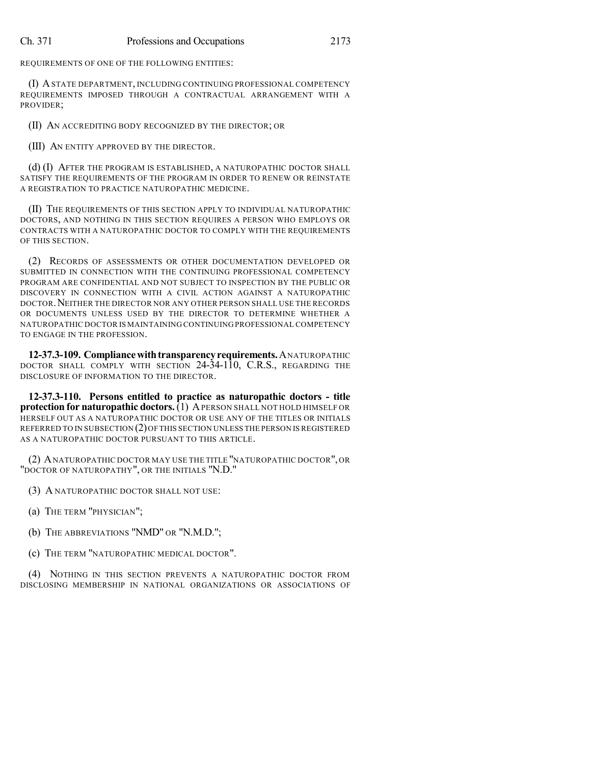REQUIREMENTS OF ONE OF THE FOLLOWING ENTITIES:

(I) ASTATE DEPARTMENT, INCLUDING CONTINUING PROFESSIONAL COMPETENCY REQUIREMENTS IMPOSED THROUGH A CONTRACTUAL ARRANGEMENT WITH A PROVIDER;

(II) AN ACCREDITING BODY RECOGNIZED BY THE DIRECTOR; OR

(III) AN ENTITY APPROVED BY THE DIRECTOR.

(d) (I) AFTER THE PROGRAM IS ESTABLISHED, A NATUROPATHIC DOCTOR SHALL SATISFY THE REQUIREMENTS OF THE PROGRAM IN ORDER TO RENEW OR REINSTATE A REGISTRATION TO PRACTICE NATUROPATHIC MEDICINE.

(II) THE REQUIREMENTS OF THIS SECTION APPLY TO INDIVIDUAL NATUROPATHIC DOCTORS, AND NOTHING IN THIS SECTION REQUIRES A PERSON WHO EMPLOYS OR CONTRACTS WITH A NATUROPATHIC DOCTOR TO COMPLY WITH THE REQUIREMENTS OF THIS SECTION.

(2) RECORDS OF ASSESSMENTS OR OTHER DOCUMENTATION DEVELOPED OR SUBMITTED IN CONNECTION WITH THE CONTINUING PROFESSIONAL COMPETENCY PROGRAM ARE CONFIDENTIAL AND NOT SUBJECT TO INSPECTION BY THE PUBLIC OR DISCOVERY IN CONNECTION WITH A CIVIL ACTION AGAINST A NATUROPATHIC DOCTOR.NEITHER THE DIRECTOR NOR ANY OTHER PERSON SHALL USE THE RECORDS OR DOCUMENTS UNLESS USED BY THE DIRECTOR TO DETERMINE WHETHER A NATUROPATHIC DOCTOR IS MAINTAINING CONTINUING PROFESSIONAL COMPETENCY TO ENGAGE IN THE PROFESSION.

**12-37.3-109. Compliancewithtransparencyrequirements.**ANATUROPATHIC DOCTOR SHALL COMPLY WITH SECTION 24-34-110, C.R.S., REGARDING THE DISCLOSURE OF INFORMATION TO THE DIRECTOR.

**12-37.3-110. Persons entitled to practice as naturopathic doctors - title protection for naturopathic doctors.** (1) APERSON SHALL NOT HOLD HIMSELF OR HERSELF OUT AS A NATUROPATHIC DOCTOR OR USE ANY OF THE TITLES OR INITIALS REFERRED TO IN SUBSECTION (2)OF THIS SECTION UNLESS THE PERSON IS REGISTERED AS A NATUROPATHIC DOCTOR PURSUANT TO THIS ARTICLE.

(2) ANATUROPATHIC DOCTOR MAY USE THE TITLE "NATUROPATHIC DOCTOR", OR "DOCTOR OF NATUROPATHY", OR THE INITIALS "N.D."

(3) A NATUROPATHIC DOCTOR SHALL NOT USE:

- (a) THE TERM "PHYSICIAN";
- (b) THE ABBREVIATIONS "NMD" OR "N.M.D.";
- (c) THE TERM "NATUROPATHIC MEDICAL DOCTOR".

(4) NOTHING IN THIS SECTION PREVENTS A NATUROPATHIC DOCTOR FROM DISCLOSING MEMBERSHIP IN NATIONAL ORGANIZATIONS OR ASSOCIATIONS OF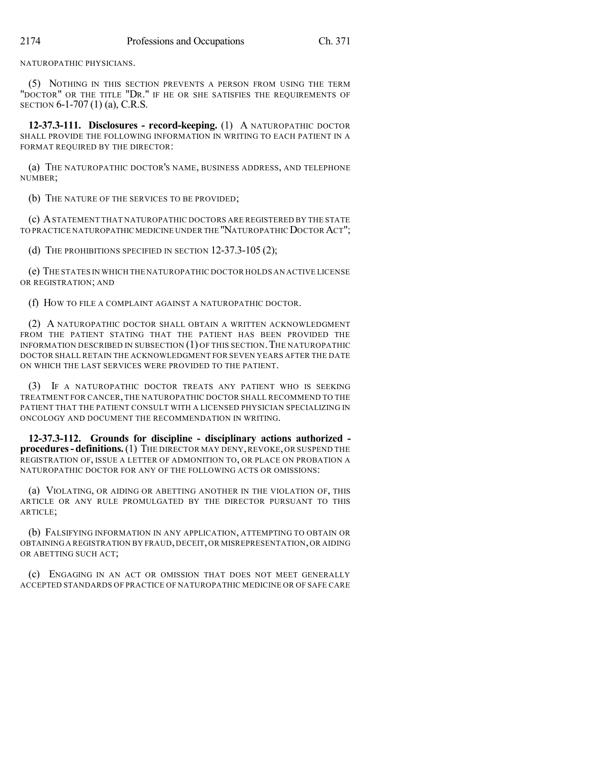NATUROPATHIC PHYSICIANS.

(5) NOTHING IN THIS SECTION PREVENTS A PERSON FROM USING THE TERM "DOCTOR" OR THE TITLE "DR." IF HE OR SHE SATISFIES THE REQUIREMENTS OF SECTION 6-1-707 (1) (a), C.R.S.

**12-37.3-111. Disclosures - record-keeping.** (1) A NATUROPATHIC DOCTOR SHALL PROVIDE THE FOLLOWING INFORMATION IN WRITING TO EACH PATIENT IN A FORMAT REQUIRED BY THE DIRECTOR:

(a) THE NATUROPATHIC DOCTOR'S NAME, BUSINESS ADDRESS, AND TELEPHONE NUMBER;

(b) THE NATURE OF THE SERVICES TO BE PROVIDED;

(c) ASTATEMENT THAT NATUROPATHIC DOCTORS ARE REGISTERED BY THE STATE TO PRACTICE NATUROPATHIC MEDICINE UNDER THE "NATUROPATHIC DOCTOR ACT":

(d) THE PROHIBITIONS SPECIFIED IN SECTION 12-37.3-105 (2);

(e) THE STATES IN WHICH THE NATUROPATHIC DOCTOR HOLDS AN ACTIVE LICENSE OR REGISTRATION; AND

(f) HOW TO FILE A COMPLAINT AGAINST A NATUROPATHIC DOCTOR.

(2) A NATUROPATHIC DOCTOR SHALL OBTAIN A WRITTEN ACKNOWLEDGMENT FROM THE PATIENT STATING THAT THE PATIENT HAS BEEN PROVIDED THE INFORMATION DESCRIBED IN SUBSECTION (1) OF THIS SECTION. THE NATUROPATHIC DOCTOR SHALL RETAIN THE ACKNOWLEDGMENT FOR SEVEN YEARS AFTER THE DATE ON WHICH THE LAST SERVICES WERE PROVIDED TO THE PATIENT.

(3) IF A NATUROPATHIC DOCTOR TREATS ANY PATIENT WHO IS SEEKING TREATMENT FOR CANCER, THE NATUROPATHIC DOCTOR SHALL RECOMMEND TO THE PATIENT THAT THE PATIENT CONSULT WITH A LICENSED PHYSICIAN SPECIALIZING IN ONCOLOGY AND DOCUMENT THE RECOMMENDATION IN WRITING.

**12-37.3-112. Grounds for discipline - disciplinary actions authorized procedures- definitions.**(1) THE DIRECTOR MAY DENY,REVOKE, OR SUSPEND THE REGISTRATION OF, ISSUE A LETTER OF ADMONITION TO, OR PLACE ON PROBATION A NATUROPATHIC DOCTOR FOR ANY OF THE FOLLOWING ACTS OR OMISSIONS:

(a) VIOLATING, OR AIDING OR ABETTING ANOTHER IN THE VIOLATION OF, THIS ARTICLE OR ANY RULE PROMULGATED BY THE DIRECTOR PURSUANT TO THIS ARTICLE;

(b) FALSIFYING INFORMATION IN ANY APPLICATION, ATTEMPTING TO OBTAIN OR OBTAINING A REGISTRATION BY FRAUD, DECEIT, OR MISREPRESENTATION,OR AIDING OR ABETTING SUCH ACT;

(c) ENGAGING IN AN ACT OR OMISSION THAT DOES NOT MEET GENERALLY ACCEPTED STANDARDS OF PRACTICE OF NATUROPATHIC MEDICINE OR OF SAFE CARE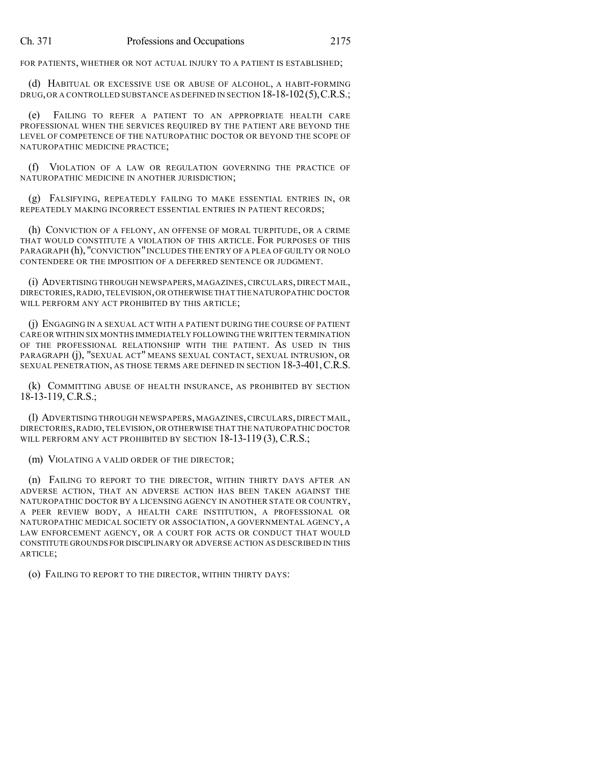FOR PATIENTS, WHETHER OR NOT ACTUAL INJURY TO A PATIENT IS ESTABLISHED;

(d) HABITUAL OR EXCESSIVE USE OR ABUSE OF ALCOHOL, A HABIT-FORMING DRUG, OR A CONTROLLED SUBSTANCE AS DEFINED IN SECTION 18-18-102(5), C.R.S.;

(e) FAILING TO REFER A PATIENT TO AN APPROPRIATE HEALTH CARE PROFESSIONAL WHEN THE SERVICES REQUIRED BY THE PATIENT ARE BEYOND THE LEVEL OF COMPETENCE OF THE NATUROPATHIC DOCTOR OR BEYOND THE SCOPE OF NATUROPATHIC MEDICINE PRACTICE;

(f) VIOLATION OF A LAW OR REGULATION GOVERNING THE PRACTICE OF NATUROPATHIC MEDICINE IN ANOTHER JURISDICTION;

(g) FALSIFYING, REPEATEDLY FAILING TO MAKE ESSENTIAL ENTRIES IN, OR REPEATEDLY MAKING INCORRECT ESSENTIAL ENTRIES IN PATIENT RECORDS;

(h) CONVICTION OF A FELONY, AN OFFENSE OF MORAL TURPITUDE, OR A CRIME THAT WOULD CONSTITUTE A VIOLATION OF THIS ARTICLE. FOR PURPOSES OF THIS PARAGRAPH (h), "CONVICTION" INCLUDES THE ENTRY OF A PLEA OF GUILTY OR NOLO CONTENDERE OR THE IMPOSITION OF A DEFERRED SENTENCE OR JUDGMENT.

(i) ADVERTISING THROUGH NEWSPAPERS, MAGAZINES, CIRCULARS, DIRECT MAIL, DIRECTORIES,RADIO,TELEVISION,OR OTHERWISE THAT THE NATUROPATHIC DOCTOR WILL PERFORM ANY ACT PROHIBITED BY THIS ARTICLE;

(j) ENGAGING IN A SEXUAL ACT WITH A PATIENT DURING THE COURSE OF PATIENT CARE OR WITHIN SIX MONTHS IMMEDIATELY FOLLOWING THE WRITTEN TERMINATION OF THE PROFESSIONAL RELATIONSHIP WITH THE PATIENT. AS USED IN THIS PARAGRAPH (j), "SEXUAL ACT" MEANS SEXUAL CONTACT, SEXUAL INTRUSION, OR SEXUAL PENETRATION, AS THOSE TERMS ARE DEFINED IN SECTION 18-3-401, C.R.S.

(k) COMMITTING ABUSE OF HEALTH INSURANCE, AS PROHIBITED BY SECTION 18-13-119, C.R.S.;

(l) ADVERTISING THROUGH NEWSPAPERS, MAGAZINES, CIRCULARS, DIRECT MAIL, DIRECTORIES,RADIO,TELEVISION,OR OTHERWISE THAT THE NATUROPATHIC DOCTOR WILL PERFORM ANY ACT PROHIBITED BY SECTION 18-13-119 (3), C.R.S.;

(m) VIOLATING A VALID ORDER OF THE DIRECTOR;

(n) FAILING TO REPORT TO THE DIRECTOR, WITHIN THIRTY DAYS AFTER AN ADVERSE ACTION, THAT AN ADVERSE ACTION HAS BEEN TAKEN AGAINST THE NATUROPATHIC DOCTOR BY A LICENSING AGENCY IN ANOTHER STATE OR COUNTRY, A PEER REVIEW BODY, A HEALTH CARE INSTITUTION, A PROFESSIONAL OR NATUROPATHIC MEDICAL SOCIETY OR ASSOCIATION, A GOVERNMENTAL AGENCY, A LAW ENFORCEMENT AGENCY, OR A COURT FOR ACTS OR CONDUCT THAT WOULD CONSTITUTE GROUNDS FOR DISCIPLINARY OR ADVERSE ACTION AS DESCRIBED IN THIS ARTICLE;

(o) FAILING TO REPORT TO THE DIRECTOR, WITHIN THIRTY DAYS: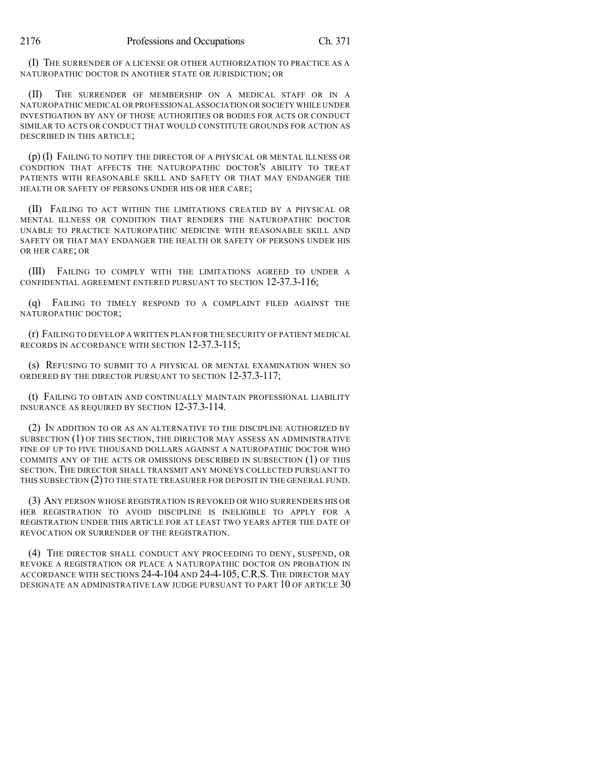(I) THE SURRENDER OF A LICENSE OR OTHER AUTHORIZATION TO PRACTICE AS A NATUROPATHIC DOCTOR IN ANOTHER STATE OR JURISDICTION; OR

(II) THE SURRENDER OF MEMBERSHIP ON A MEDICAL STAFF OR IN A NATUROPATHIC MEDICAL OR PROFESSIONAL ASSOCIATION OR SOCIETY WHILE UNDER INVESTIGATION BY ANY OF THOSE AUTHORITIES OR BODIES FOR ACTS OR CONDUCT SIMILAR TO ACTS OR CONDUCT THAT WOULD CONSTITUTE GROUNDS FOR ACTION AS DESCRIBED IN THIS ARTICLE;

(p) (I) FAILING TO NOTIFY THE DIRECTOR OF A PHYSICAL OR MENTAL ILLNESS OR CONDITION THAT AFFECTS THE NATUROPATHIC DOCTOR'S ABILITY TO TREAT PATIENTS WITH REASONABLE SKILL AND SAFETY OR THAT MAY ENDANGER THE HEALTH OR SAFETY OF PERSONS UNDER HIS OR HER CARE;

(II) FAILING TO ACT WITHIN THE LIMITATIONS CREATED BY A PHYSICAL OR MENTAL ILLNESS OR CONDITION THAT RENDERS THE NATUROPATHIC DOCTOR UNABLE TO PRACTICE NATUROPATHIC MEDICINE WITH REASONABLE SKILL AND SAFETY OR THAT MAY ENDANGER THE HEALTH OR SAFETY OF PERSONS UNDER HIS OR HER CARE; OR

(III) FAILING TO COMPLY WITH THE LIMITATIONS AGREED TO UNDER A CONFIDENTIAL AGREEMENT ENTERED PURSUANT TO SECTION 12-37.3-116;

(q) FAILING TO TIMELY RESPOND TO A COMPLAINT FILED AGAINST THE NATUROPATHIC DOCTOR;

(r) FAILING TO DEVELOP A WRITTEN PLAN FOR THE SECURITY OF PATIENT MEDICAL RECORDS IN ACCORDANCE WITH SECTION 12-37.3-115;

(s) REFUSING TO SUBMIT TO A PHYSICAL OR MENTAL EXAMINATION WHEN SO ORDERED BY THE DIRECTOR PURSUANT TO SECTION 12-37.3-117;

(t) FAILING TO OBTAIN AND CONTINUALLY MAINTAIN PROFESSIONAL LIABILITY INSURANCE AS REQUIRED BY SECTION 12-37.3-114.

(2) IN ADDITION TO OR AS AN ALTERNATIVE TO THE DISCIPLINE AUTHORIZED BY SUBSECTION (1) OF THIS SECTION, THE DIRECTOR MAY ASSESS AN ADMINISTRATIVE FINE OF UP TO FIVE THOUSAND DOLLARS AGAINST A NATUROPATHIC DOCTOR WHO COMMITS ANY OF THE ACTS OR OMISSIONS DESCRIBED IN SUBSECTION (1) OF THIS SECTION.THE DIRECTOR SHALL TRANSMIT ANY MONEYS COLLECTED PURSUANT TO THIS SUBSECTION (2) TO THE STATE TREASURER FOR DEPOSIT IN THE GENERAL FUND.

(3) ANY PERSON WHOSE REGISTRATION IS REVOKED OR WHO SURRENDERS HIS OR HER REGISTRATION TO AVOID DISCIPLINE IS INELIGIBLE TO APPLY FOR A REGISTRATION UNDER THIS ARTICLE FOR AT LEAST TWO YEARS AFTER THE DATE OF REVOCATION OR SURRENDER OF THE REGISTRATION.

(4) THE DIRECTOR SHALL CONDUCT ANY PROCEEDING TO DENY, SUSPEND, OR REVOKE A REGISTRATION OR PLACE A NATUROPATHIC DOCTOR ON PROBATION IN ACCORDANCE WITH SECTIONS 24-4-104 AND 24-4-105, C.R.S. THE DIRECTOR MAY DESIGNATE AN ADMINISTRATIVE LAW JUDGE PURSUANT TO PART 10 OF ARTICLE 30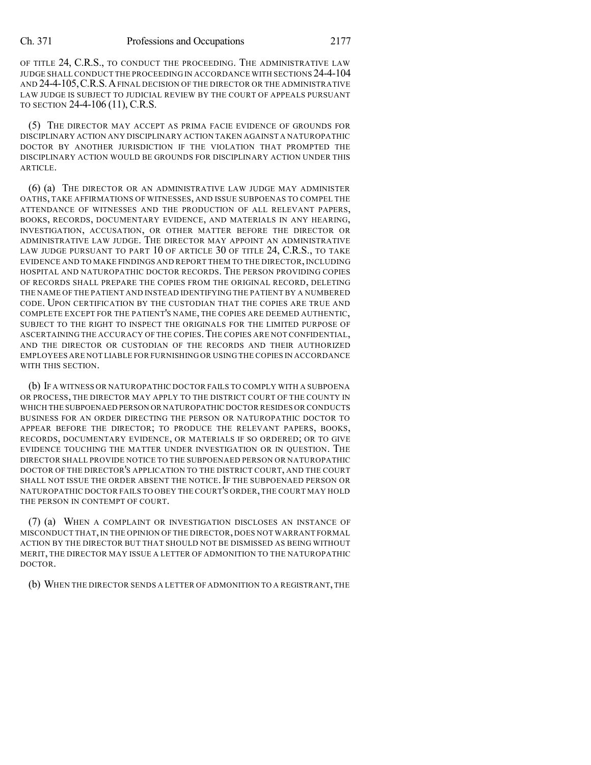OF TITLE 24, C.R.S., TO CONDUCT THE PROCEEDING. THE ADMINISTRATIVE LAW JUDGE SHALL CONDUCT THE PROCEEDING IN ACCORDANCE WITH SECTIONS 24-4-104 AND 24-4-105,C.R.S.AFINAL DECISION OF THE DIRECTOR OR THE ADMINISTRATIVE LAW JUDGE IS SUBJECT TO JUDICIAL REVIEW BY THE COURT OF APPEALS PURSUANT TO SECTION 24-4-106 (11), C.R.S.

(5) THE DIRECTOR MAY ACCEPT AS PRIMA FACIE EVIDENCE OF GROUNDS FOR DISCIPLINARY ACTION ANY DISCIPLINARY ACTION TAKEN AGAINST A NATUROPATHIC DOCTOR BY ANOTHER JURISDICTION IF THE VIOLATION THAT PROMPTED THE DISCIPLINARY ACTION WOULD BE GROUNDS FOR DISCIPLINARY ACTION UNDER THIS ARTICLE.

(6) (a) THE DIRECTOR OR AN ADMINISTRATIVE LAW JUDGE MAY ADMINISTER OATHS, TAKE AFFIRMATIONS OF WITNESSES, AND ISSUE SUBPOENAS TO COMPEL THE ATTENDANCE OF WITNESSES AND THE PRODUCTION OF ALL RELEVANT PAPERS, BOOKS, RECORDS, DOCUMENTARY EVIDENCE, AND MATERIALS IN ANY HEARING, INVESTIGATION, ACCUSATION, OR OTHER MATTER BEFORE THE DIRECTOR OR ADMINISTRATIVE LAW JUDGE. THE DIRECTOR MAY APPOINT AN ADMINISTRATIVE LAW JUDGE PURSUANT TO PART 10 OF ARTICLE 30 OF TITLE 24, C.R.S., TO TAKE EVIDENCE AND TO MAKE FINDINGS AND REPORT THEM TO THE DIRECTOR, INCLUDING HOSPITAL AND NATUROPATHIC DOCTOR RECORDS. THE PERSON PROVIDING COPIES OF RECORDS SHALL PREPARE THE COPIES FROM THE ORIGINAL RECORD, DELETING THE NAME OF THE PATIENT AND INSTEAD IDENTIFYING THE PATIENT BY A NUMBERED CODE. UPON CERTIFICATION BY THE CUSTODIAN THAT THE COPIES ARE TRUE AND COMPLETE EXCEPT FOR THE PATIENT'S NAME, THE COPIES ARE DEEMED AUTHENTIC, SUBJECT TO THE RIGHT TO INSPECT THE ORIGINALS FOR THE LIMITED PURPOSE OF ASCERTAINING THE ACCURACY OF THE COPIES.THE COPIES ARE NOT CONFIDENTIAL, AND THE DIRECTOR OR CUSTODIAN OF THE RECORDS AND THEIR AUTHORIZED EMPLOYEES ARE NOT LIABLE FOR FURNISHING OR USING THE COPIES IN ACCORDANCE WITH THIS SECTION.

(b) IF A WITNESS OR NATUROPATHIC DOCTOR FAILS TO COMPLY WITH A SUBPOENA OR PROCESS, THE DIRECTOR MAY APPLY TO THE DISTRICT COURT OF THE COUNTY IN WHICH THE SUBPOENAED PERSON OR NATUROPATHIC DOCTOR RESIDES OR CONDUCTS BUSINESS FOR AN ORDER DIRECTING THE PERSON OR NATUROPATHIC DOCTOR TO APPEAR BEFORE THE DIRECTOR; TO PRODUCE THE RELEVANT PAPERS, BOOKS, RECORDS, DOCUMENTARY EVIDENCE, OR MATERIALS IF SO ORDERED; OR TO GIVE EVIDENCE TOUCHING THE MATTER UNDER INVESTIGATION OR IN QUESTION. THE DIRECTOR SHALL PROVIDE NOTICE TO THE SUBPOENAED PERSON OR NATUROPATHIC DOCTOR OF THE DIRECTOR'S APPLICATION TO THE DISTRICT COURT, AND THE COURT SHALL NOT ISSUE THE ORDER ABSENT THE NOTICE. IF THE SUBPOENAED PERSON OR NATUROPATHIC DOCTOR FAILS TO OBEY THE COURT'S ORDER,THE COURT MAY HOLD THE PERSON IN CONTEMPT OF COURT.

(7) (a) WHEN A COMPLAINT OR INVESTIGATION DISCLOSES AN INSTANCE OF MISCONDUCT THAT,IN THE OPINION OF THE DIRECTOR, DOES NOT WARRANT FORMAL ACTION BY THE DIRECTOR BUT THAT SHOULD NOT BE DISMISSED AS BEING WITHOUT MERIT, THE DIRECTOR MAY ISSUE A LETTER OF ADMONITION TO THE NATUROPATHIC DOCTOR.

(b) WHEN THE DIRECTOR SENDS A LETTER OF ADMONITION TO A REGISTRANT, THE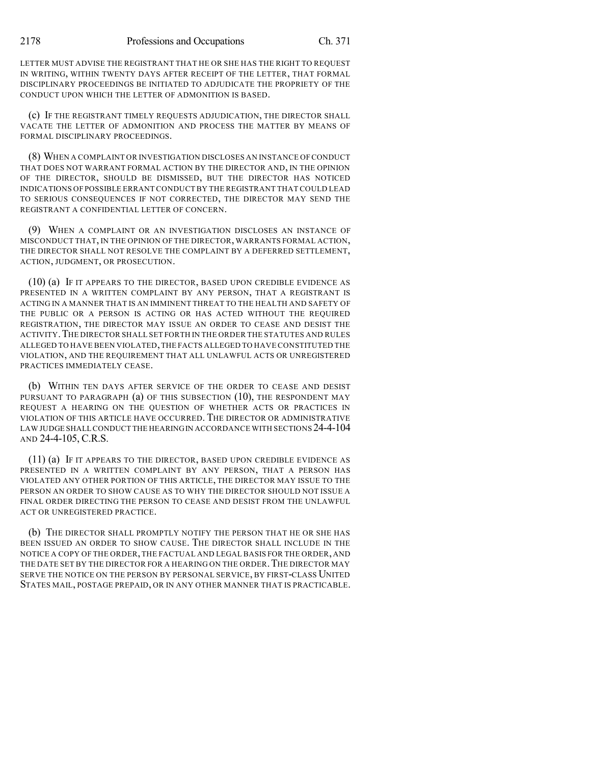LETTER MUST ADVISE THE REGISTRANT THAT HE OR SHE HAS THE RIGHT TO REQUEST IN WRITING, WITHIN TWENTY DAYS AFTER RECEIPT OF THE LETTER, THAT FORMAL DISCIPLINARY PROCEEDINGS BE INITIATED TO ADJUDICATE THE PROPRIETY OF THE CONDUCT UPON WHICH THE LETTER OF ADMONITION IS BASED.

(c) IF THE REGISTRANT TIMELY REQUESTS ADJUDICATION, THE DIRECTOR SHALL VACATE THE LETTER OF ADMONITION AND PROCESS THE MATTER BY MEANS OF FORMAL DISCIPLINARY PROCEEDINGS.

(8) WHEN A COMPLAINT OR INVESTIGATION DISCLOSES AN INSTANCE OF CONDUCT THAT DOES NOT WARRANT FORMAL ACTION BY THE DIRECTOR AND, IN THE OPINION OF THE DIRECTOR, SHOULD BE DISMISSED, BUT THE DIRECTOR HAS NOTICED INDICATIONS OF POSSIBLE ERRANT CONDUCTBY THE REGISTRANT THAT COULD LEAD TO SERIOUS CONSEQUENCES IF NOT CORRECTED, THE DIRECTOR MAY SEND THE REGISTRANT A CONFIDENTIAL LETTER OF CONCERN.

(9) WHEN A COMPLAINT OR AN INVESTIGATION DISCLOSES AN INSTANCE OF MISCONDUCT THAT, IN THE OPINION OF THE DIRECTOR, WARRANTS FORMAL ACTION, THE DIRECTOR SHALL NOT RESOLVE THE COMPLAINT BY A DEFERRED SETTLEMENT, ACTION, JUDGMENT, OR PROSECUTION.

(10) (a) IF IT APPEARS TO THE DIRECTOR, BASED UPON CREDIBLE EVIDENCE AS PRESENTED IN A WRITTEN COMPLAINT BY ANY PERSON, THAT A REGISTRANT IS ACTING IN A MANNER THAT IS AN IMMINENT THREAT TO THE HEALTH AND SAFETY OF THE PUBLIC OR A PERSON IS ACTING OR HAS ACTED WITHOUT THE REQUIRED REGISTRATION, THE DIRECTOR MAY ISSUE AN ORDER TO CEASE AND DESIST THE ACTIVITY. THE DIRECTOR SHALL SET FORTH IN THE ORDER THE STATUTES AND RULES ALLEGED TO HAVE BEEN VIOLATED,THE FACTS ALLEGED TO HAVE CONSTITUTED THE VIOLATION, AND THE REQUIREMENT THAT ALL UNLAWFUL ACTS OR UNREGISTERED PRACTICES IMMEDIATELY CEASE.

(b) WITHIN TEN DAYS AFTER SERVICE OF THE ORDER TO CEASE AND DESIST PURSUANT TO PARAGRAPH (a) OF THIS SUBSECTION (10), THE RESPONDENT MAY REQUEST A HEARING ON THE QUESTION OF WHETHER ACTS OR PRACTICES IN VIOLATION OF THIS ARTICLE HAVE OCCURRED. THE DIRECTOR OR ADMINISTRATIVE LAW JUDGE SHALL CONDUCT THE HEARING IN ACCORDANCE WITH SECTIONS 24-4-104 AND 24-4-105, C.R.S.

(11) (a) IF IT APPEARS TO THE DIRECTOR, BASED UPON CREDIBLE EVIDENCE AS PRESENTED IN A WRITTEN COMPLAINT BY ANY PERSON, THAT A PERSON HAS VIOLATED ANY OTHER PORTION OF THIS ARTICLE, THE DIRECTOR MAY ISSUE TO THE PERSON AN ORDER TO SHOW CAUSE AS TO WHY THE DIRECTOR SHOULD NOT ISSUE A FINAL ORDER DIRECTING THE PERSON TO CEASE AND DESIST FROM THE UNLAWFUL ACT OR UNREGISTERED PRACTICE.

(b) THE DIRECTOR SHALL PROMPTLY NOTIFY THE PERSON THAT HE OR SHE HAS BEEN ISSUED AN ORDER TO SHOW CAUSE. THE DIRECTOR SHALL INCLUDE IN THE NOTICE A COPY OF THE ORDER,THE FACTUAL AND LEGAL BASIS FOR THE ORDER, AND THE DATE SET BY THE DIRECTOR FOR A HEARING ON THE ORDER. THE DIRECTOR MAY SERVE THE NOTICE ON THE PERSON BY PERSONAL SERVICE, BY FIRST-CLASS UNITED STATES MAIL, POSTAGE PREPAID, OR IN ANY OTHER MANNER THAT IS PRACTICABLE.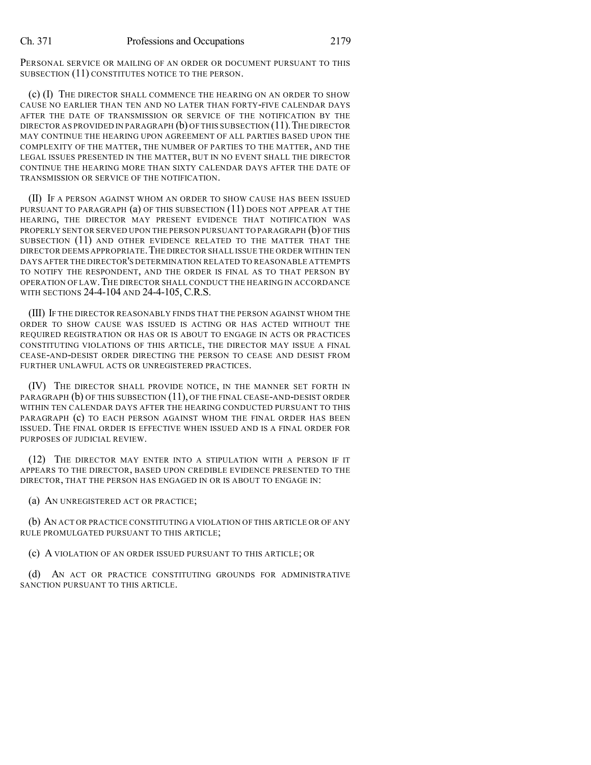PERSONAL SERVICE OR MAILING OF AN ORDER OR DOCUMENT PURSUANT TO THIS SUBSECTION (11) CONSTITUTES NOTICE TO THE PERSON.

(c) (I) THE DIRECTOR SHALL COMMENCE THE HEARING ON AN ORDER TO SHOW CAUSE NO EARLIER THAN TEN AND NO LATER THAN FORTY-FIVE CALENDAR DAYS AFTER THE DATE OF TRANSMISSION OR SERVICE OF THE NOTIFICATION BY THE DIRECTOR AS PROVIDED IN PARAGRAPH  $(b)$  of this subsection (11). The director MAY CONTINUE THE HEARING UPON AGREEMENT OF ALL PARTIES BASED UPON THE COMPLEXITY OF THE MATTER, THE NUMBER OF PARTIES TO THE MATTER, AND THE LEGAL ISSUES PRESENTED IN THE MATTER, BUT IN NO EVENT SHALL THE DIRECTOR CONTINUE THE HEARING MORE THAN SIXTY CALENDAR DAYS AFTER THE DATE OF TRANSMISSION OR SERVICE OF THE NOTIFICATION.

(II) IF A PERSON AGAINST WHOM AN ORDER TO SHOW CAUSE HAS BEEN ISSUED PURSUANT TO PARAGRAPH (a) OF THIS SUBSECTION (11) DOES NOT APPEAR AT THE HEARING, THE DIRECTOR MAY PRESENT EVIDENCE THAT NOTIFICATION WAS PROPERLY SENT OR SERVED UPON THE PERSON PURSUANT TO PARAGRAPH (b) OF THIS SUBSECTION (11) AND OTHER EVIDENCE RELATED TO THE MATTER THAT THE DIRECTOR DEEMS APPROPRIATE.THE DIRECTOR SHALL ISSUE THE ORDER WITHIN TEN DAYS AFTER THE DIRECTOR'S DETERMINATION RELATED TO REASONABLE ATTEMPTS TO NOTIFY THE RESPONDENT, AND THE ORDER IS FINAL AS TO THAT PERSON BY OPERATION OF LAW.THE DIRECTOR SHALL CONDUCT THE HEARING IN ACCORDANCE WITH SECTIONS 24-4-104 AND 24-4-105, C.R.S.

(III) IF THE DIRECTOR REASONABLY FINDS THAT THE PERSON AGAINST WHOM THE ORDER TO SHOW CAUSE WAS ISSUED IS ACTING OR HAS ACTED WITHOUT THE REQUIRED REGISTRATION OR HAS OR IS ABOUT TO ENGAGE IN ACTS OR PRACTICES CONSTITUTING VIOLATIONS OF THIS ARTICLE, THE DIRECTOR MAY ISSUE A FINAL CEASE-AND-DESIST ORDER DIRECTING THE PERSON TO CEASE AND DESIST FROM FURTHER UNLAWFUL ACTS OR UNREGISTERED PRACTICES.

(IV) THE DIRECTOR SHALL PROVIDE NOTICE, IN THE MANNER SET FORTH IN PARAGRAPH (b) OF THIS SUBSECTION (11), OF THE FINAL CEASE-AND-DESIST ORDER WITHIN TEN CALENDAR DAYS AFTER THE HEARING CONDUCTED PURSUANT TO THIS PARAGRAPH (c) TO EACH PERSON AGAINST WHOM THE FINAL ORDER HAS BEEN ISSUED. THE FINAL ORDER IS EFFECTIVE WHEN ISSUED AND IS A FINAL ORDER FOR PURPOSES OF JUDICIAL REVIEW.

(12) THE DIRECTOR MAY ENTER INTO A STIPULATION WITH A PERSON IF IT APPEARS TO THE DIRECTOR, BASED UPON CREDIBLE EVIDENCE PRESENTED TO THE DIRECTOR, THAT THE PERSON HAS ENGAGED IN OR IS ABOUT TO ENGAGE IN:

(a) AN UNREGISTERED ACT OR PRACTICE;

(b) AN ACT OR PRACTICE CONSTITUTING A VIOLATION OF THIS ARTICLE OR OF ANY RULE PROMULGATED PURSUANT TO THIS ARTICLE;

(c) A VIOLATION OF AN ORDER ISSUED PURSUANT TO THIS ARTICLE; OR

(d) AN ACT OR PRACTICE CONSTITUTING GROUNDS FOR ADMINISTRATIVE SANCTION PURSUANT TO THIS ARTICLE.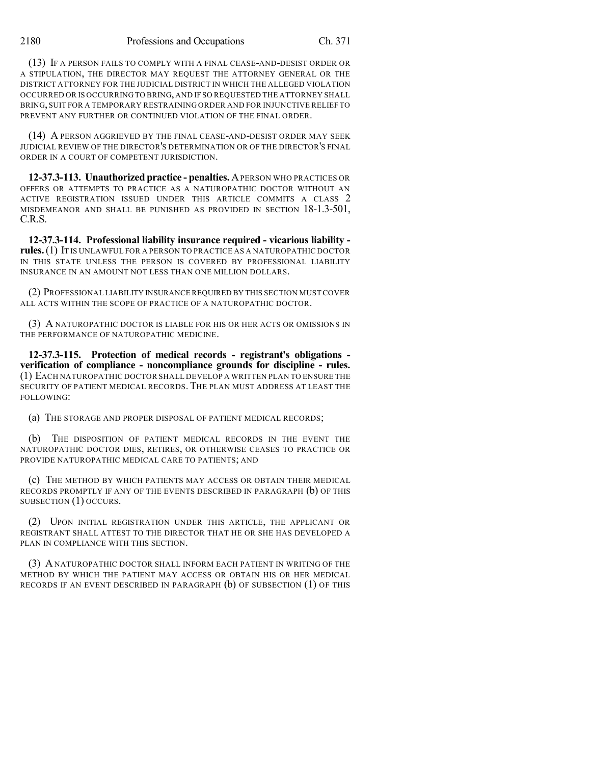(13) IF A PERSON FAILS TO COMPLY WITH A FINAL CEASE-AND-DESIST ORDER OR A STIPULATION, THE DIRECTOR MAY REQUEST THE ATTORNEY GENERAL OR THE DISTRICT ATTORNEY FOR THE JUDICIAL DISTRICT IN WHICH THE ALLEGED VIOLATION OCCURRED OR IS OCCURRING TO BRING, AND IF SO REQUESTED THE ATTORNEY SHALL BRING, SUIT FOR A TEMPORARY RESTRAINING ORDER AND FOR INJUNCTIVE RELIEF TO PREVENT ANY FURTHER OR CONTINUED VIOLATION OF THE FINAL ORDER.

(14) A PERSON AGGRIEVED BY THE FINAL CEASE-AND-DESIST ORDER MAY SEEK JUDICIAL REVIEW OF THE DIRECTOR'S DETERMINATION OR OF THE DIRECTOR'S FINAL ORDER IN A COURT OF COMPETENT JURISDICTION.

**12-37.3-113. Unauthorized practice - penalties.** APERSON WHO PRACTICES OR OFFERS OR ATTEMPTS TO PRACTICE AS A NATUROPATHIC DOCTOR WITHOUT AN ACTIVE REGISTRATION ISSUED UNDER THIS ARTICLE COMMITS A CLASS 2 MISDEMEANOR AND SHALL BE PUNISHED AS PROVIDED IN SECTION 18-1.3-501, C.R.S.

**12-37.3-114. Professional liability insurance required - vicarious liability rules.**(1) IT IS UNLAWFUL FOR A PERSON TO PRACTICE AS A NATUROPATHIC DOCTOR IN THIS STATE UNLESS THE PERSON IS COVERED BY PROFESSIONAL LIABILITY INSURANCE IN AN AMOUNT NOT LESS THAN ONE MILLION DOLLARS.

(2) PROFESSIONAL LIABILITY INSURANCE REQUIRED BY THIS SECTION MUSTCOVER ALL ACTS WITHIN THE SCOPE OF PRACTICE OF A NATUROPATHIC DOCTOR.

(3) A NATUROPATHIC DOCTOR IS LIABLE FOR HIS OR HER ACTS OR OMISSIONS IN THE PERFORMANCE OF NATUROPATHIC MEDICINE.

**12-37.3-115. Protection of medical records - registrant's obligations verification of compliance - noncompliance grounds for discipline - rules.** (1) EACH NATUROPATHIC DOCTOR SHALL DEVELOP A WRITTEN PLAN TO ENSURE THE SECURITY OF PATIENT MEDICAL RECORDS. THE PLAN MUST ADDRESS AT LEAST THE FOLLOWING:

(a) THE STORAGE AND PROPER DISPOSAL OF PATIENT MEDICAL RECORDS;

(b) THE DISPOSITION OF PATIENT MEDICAL RECORDS IN THE EVENT THE NATUROPATHIC DOCTOR DIES, RETIRES, OR OTHERWISE CEASES TO PRACTICE OR PROVIDE NATUROPATHIC MEDICAL CARE TO PATIENTS; AND

(c) THE METHOD BY WHICH PATIENTS MAY ACCESS OR OBTAIN THEIR MEDICAL RECORDS PROMPTLY IF ANY OF THE EVENTS DESCRIBED IN PARAGRAPH (b) OF THIS SUBSECTION (1) OCCURS.

(2) UPON INITIAL REGISTRATION UNDER THIS ARTICLE, THE APPLICANT OR REGISTRANT SHALL ATTEST TO THE DIRECTOR THAT HE OR SHE HAS DEVELOPED A PLAN IN COMPLIANCE WITH THIS SECTION.

(3) A NATUROPATHIC DOCTOR SHALL INFORM EACH PATIENT IN WRITING OF THE METHOD BY WHICH THE PATIENT MAY ACCESS OR OBTAIN HIS OR HER MEDICAL RECORDS IF AN EVENT DESCRIBED IN PARAGRAPH (b) OF SUBSECTION (1) OF THIS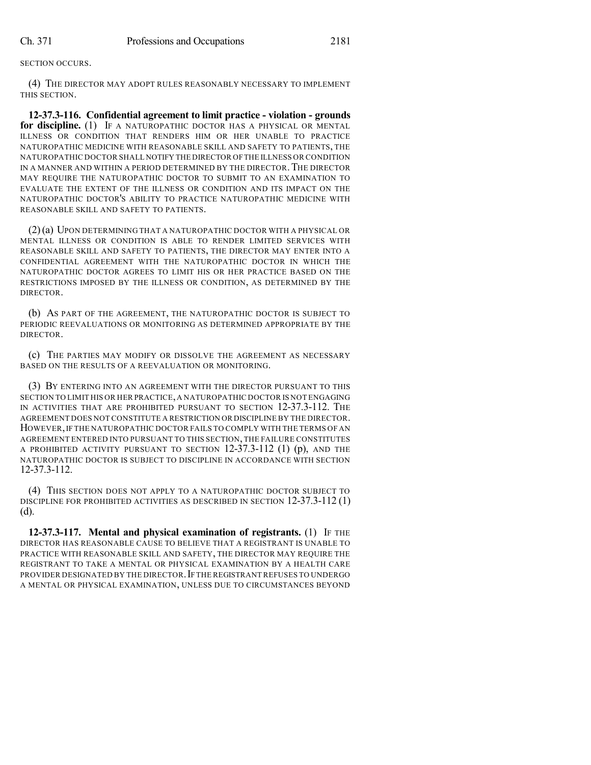#### SECTION OCCURS.

(4) THE DIRECTOR MAY ADOPT RULES REASONABLY NECESSARY TO IMPLEMENT THIS SECTION.

**12-37.3-116. Confidential agreement to limit practice - violation - grounds for discipline.** (1) IF A NATUROPATHIC DOCTOR HAS A PHYSICAL OR MENTAL ILLNESS OR CONDITION THAT RENDERS HIM OR HER UNABLE TO PRACTICE NATUROPATHIC MEDICINE WITH REASONABLE SKILL AND SAFETY TO PATIENTS, THE NATUROPATHIC DOCTOR SHALL NOTIFY THE DIRECTOR OFTHE ILLNESS OR CONDITION IN A MANNER AND WITHIN A PERIOD DETERMINED BY THE DIRECTOR.THE DIRECTOR MAY REQUIRE THE NATUROPATHIC DOCTOR TO SUBMIT TO AN EXAMINATION TO EVALUATE THE EXTENT OF THE ILLNESS OR CONDITION AND ITS IMPACT ON THE NATUROPATHIC DOCTOR'S ABILITY TO PRACTICE NATUROPATHIC MEDICINE WITH REASONABLE SKILL AND SAFETY TO PATIENTS.

(2)(a) UPON DETERMINING THAT A NATUROPATHIC DOCTOR WITH A PHYSICAL OR MENTAL ILLNESS OR CONDITION IS ABLE TO RENDER LIMITED SERVICES WITH REASONABLE SKILL AND SAFETY TO PATIENTS, THE DIRECTOR MAY ENTER INTO A CONFIDENTIAL AGREEMENT WITH THE NATUROPATHIC DOCTOR IN WHICH THE NATUROPATHIC DOCTOR AGREES TO LIMIT HIS OR HER PRACTICE BASED ON THE RESTRICTIONS IMPOSED BY THE ILLNESS OR CONDITION, AS DETERMINED BY THE DIRECTOR.

(b) AS PART OF THE AGREEMENT, THE NATUROPATHIC DOCTOR IS SUBJECT TO PERIODIC REEVALUATIONS OR MONITORING AS DETERMINED APPROPRIATE BY THE DIRECTOR.

(c) THE PARTIES MAY MODIFY OR DISSOLVE THE AGREEMENT AS NECESSARY BASED ON THE RESULTS OF A REEVALUATION OR MONITORING.

(3) BY ENTERING INTO AN AGREEMENT WITH THE DIRECTOR PURSUANT TO THIS SECTION TO LIMIT HIS OR HER PRACTICE,A NATUROPATHIC DOCTOR IS NOT ENGAGING IN ACTIVITIES THAT ARE PROHIBITED PURSUANT TO SECTION 12-37.3-112. THE AGREEMENT DOES NOT CONSTITUTE A RESTRICTION OR DISCIPLINE BY THE DIRECTOR. HOWEVER,IF THE NATUROPATHIC DOCTOR FAILS TO COMPLY WITH THE TERMS OF AN AGREEMENT ENTERED INTO PURSUANT TO THIS SECTION, THE FAILURE CONSTITUTES A PROHIBITED ACTIVITY PURSUANT TO SECTION  $12-37.3-112$  (1) (p), AND THE NATUROPATHIC DOCTOR IS SUBJECT TO DISCIPLINE IN ACCORDANCE WITH SECTION 12-37.3-112.

(4) THIS SECTION DOES NOT APPLY TO A NATUROPATHIC DOCTOR SUBJECT TO DISCIPLINE FOR PROHIBITED ACTIVITIES AS DESCRIBED IN SECTION 12-37.3-112 (1) (d).

**12-37.3-117. Mental and physical examination of registrants.** (1) IF THE DIRECTOR HAS REASONABLE CAUSE TO BELIEVE THAT A REGISTRANT IS UNABLE TO PRACTICE WITH REASONABLE SKILL AND SAFETY, THE DIRECTOR MAY REQUIRE THE REGISTRANT TO TAKE A MENTAL OR PHYSICAL EXAMINATION BY A HEALTH CARE PROVIDER DESIGNATED BY THE DIRECTOR.IF THE REGISTRANT REFUSES TO UNDERGO A MENTAL OR PHYSICAL EXAMINATION, UNLESS DUE TO CIRCUMSTANCES BEYOND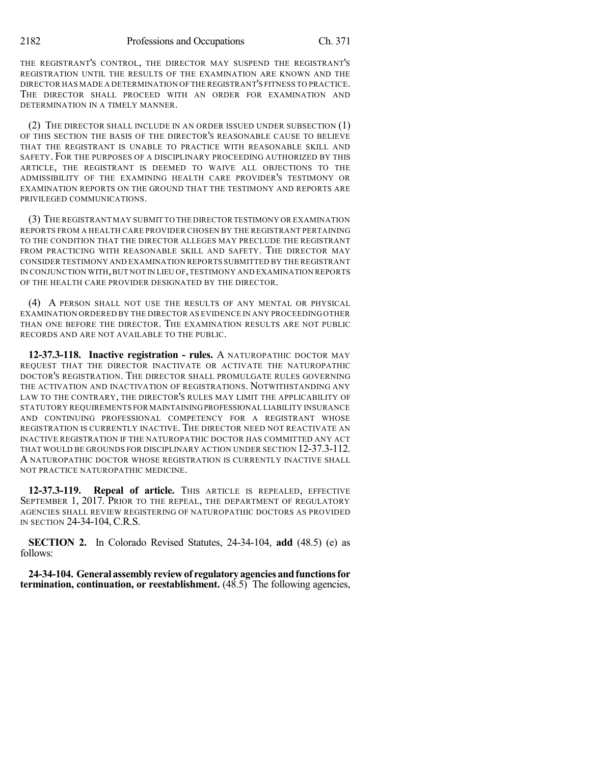2182 Professions and Occupations Ch. 371

THE REGISTRANT'S CONTROL, THE DIRECTOR MAY SUSPEND THE REGISTRANT'S REGISTRATION UNTIL THE RESULTS OF THE EXAMINATION ARE KNOWN AND THE DIRECTOR HAS MADE A DETERMINATION OF THEREGISTRANT'S FITNESS TO PRACTICE. THE DIRECTOR SHALL PROCEED WITH AN ORDER FOR EXAMINATION AND DETERMINATION IN A TIMELY MANNER.

(2) THE DIRECTOR SHALL INCLUDE IN AN ORDER ISSUED UNDER SUBSECTION (1) OF THIS SECTION THE BASIS OF THE DIRECTOR'S REASONABLE CAUSE TO BELIEVE THAT THE REGISTRANT IS UNABLE TO PRACTICE WITH REASONABLE SKILL AND SAFETY. FOR THE PURPOSES OF A DISCIPLINARY PROCEEDING AUTHORIZED BY THIS ARTICLE, THE REGISTRANT IS DEEMED TO WAIVE ALL OBJECTIONS TO THE ADMISSIBILITY OF THE EXAMINING HEALTH CARE PROVIDER'S TESTIMONY OR EXAMINATION REPORTS ON THE GROUND THAT THE TESTIMONY AND REPORTS ARE PRIVILEGED COMMUNICATIONS.

(3) THE REGISTRANT MAY SUBMIT TO THE DIRECTOR TESTIMONY OR EXAMINATION REPORTS FROM A HEALTH CARE PROVIDER CHOSEN BY THE REGISTRANT PERTAINING TO THE CONDITION THAT THE DIRECTOR ALLEGES MAY PRECLUDE THE REGISTRANT FROM PRACTICING WITH REASONABLE SKILL AND SAFETY. THE DIRECTOR MAY CONSIDER TESTIMONY AND EXAMINATION REPORTS SUBMITTED BY THE REGISTRANT IN CONJUNCTION WITH,BUT NOT IN LIEU OF,TESTIMONY AND EXAMINATION REPORTS OF THE HEALTH CARE PROVIDER DESIGNATED BY THE DIRECTOR.

(4) A PERSON SHALL NOT USE THE RESULTS OF ANY MENTAL OR PHYSICAL EXAMINATION ORDERED BY THE DIRECTOR AS EVIDENCE IN ANY PROCEEDING OTHER THAN ONE BEFORE THE DIRECTOR. THE EXAMINATION RESULTS ARE NOT PUBLIC RECORDS AND ARE NOT AVAILABLE TO THE PUBLIC.

**12-37.3-118. Inactive registration - rules.** A NATUROPATHIC DOCTOR MAY REQUEST THAT THE DIRECTOR INACTIVATE OR ACTIVATE THE NATUROPATHIC DOCTOR'S REGISTRATION. THE DIRECTOR SHALL PROMULGATE RULES GOVERNING THE ACTIVATION AND INACTIVATION OF REGISTRATIONS. NOTWITHSTANDING ANY LAW TO THE CONTRARY, THE DIRECTOR'S RULES MAY LIMIT THE APPLICABILITY OF STATUTORY REQUIREMENTS FOR MAINTAININGPROFESSIONAL LIABILITY INSURANCE AND CONTINUING PROFESSIONAL COMPETENCY FOR A REGISTRANT WHOSE REGISTRATION IS CURRENTLY INACTIVE. THE DIRECTOR NEED NOT REACTIVATE AN INACTIVE REGISTRATION IF THE NATUROPATHIC DOCTOR HAS COMMITTED ANY ACT THAT WOULD BE GROUNDS FOR DISCIPLINARY ACTION UNDER SECTION 12-37.3-112. A NATUROPATHIC DOCTOR WHOSE REGISTRATION IS CURRENTLY INACTIVE SHALL NOT PRACTICE NATUROPATHIC MEDICINE.

**12-37.3-119. Repeal of article.** THIS ARTICLE IS REPEALED, EFFECTIVE SEPTEMBER 1, 2017. PRIOR TO THE REPEAL, THE DEPARTMENT OF REGULATORY AGENCIES SHALL REVIEW REGISTERING OF NATUROPATHIC DOCTORS AS PROVIDED IN SECTION 24-34-104, C.R.S.

**SECTION 2.** In Colorado Revised Statutes, 24-34-104, **add** (48.5) (e) as follows:

**24-34-104. Generalassemblyreviewof regulatoryagenciesandfunctionsfor termination, continuation, or reestablishment.** (48.5) The following agencies,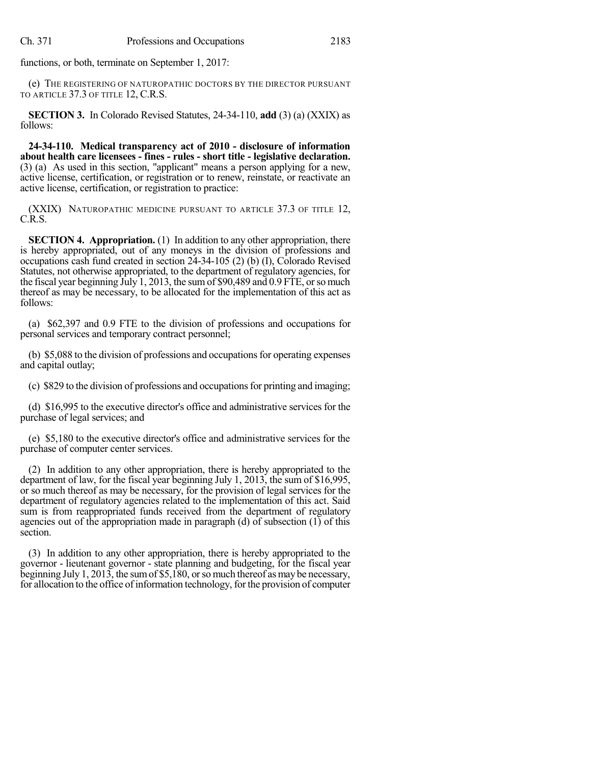functions, or both, terminate on September 1, 2017:

(e) THE REGISTERING OF NATUROPATHIC DOCTORS BY THE DIRECTOR PURSUANT TO ARTICLE 37.3 OF TITLE 12, C.R.S.

**SECTION 3.** In Colorado Revised Statutes, 24-34-110, **add** (3) (a) (XXIX) as follows:

**24-34-110. Medical transparency act of 2010 - disclosure of information about health care licensees - fines - rules - short title - legislative declaration.** (3) (a) As used in this section, "applicant" means a person applying for a new, active license, certification, or registration or to renew, reinstate, or reactivate an active license, certification, or registration to practice:

(XXIX) NATUROPATHIC MEDICINE PURSUANT TO ARTICLE 37.3 OF TITLE 12, C.R.S.

**SECTION 4. Appropriation.** (1) In addition to any other appropriation, there is hereby appropriated, out of any moneys in the division of professions and occupations cash fund created in section 24-34-105 (2) (b) (I), Colorado Revised Statutes, not otherwise appropriated, to the department of regulatory agencies, for the fiscal year beginning July 1, 2013, the sum of \$90,489 and 0.9 FTE, or so much thereof as may be necessary, to be allocated for the implementation of this act as follows:

(a) \$62,397 and 0.9 FTE to the division of professions and occupations for personal services and temporary contract personnel;

(b) \$5,088 to the division of professions and occupations for operating expenses and capital outlay;

(c) \$829 to the division of professions and occupations for printing and imaging;

(d) \$16,995 to the executive director's office and administrative services for the purchase of legal services; and

(e) \$5,180 to the executive director's office and administrative services for the purchase of computer center services.

(2) In addition to any other appropriation, there is hereby appropriated to the department of law, for the fiscal year beginning July 1, 2013, the sum of \$16,995, or so much thereof as may be necessary, for the provision of legal services for the department of regulatory agencies related to the implementation of this act. Said sum is from reappropriated funds received from the department of regulatory agencies out of the appropriation made in paragraph (d) of subsection (1) of this section.

(3) In addition to any other appropriation, there is hereby appropriated to the governor - lieutenant governor - state planning and budgeting, for the fiscal year beginning July 1, 2013, the sum of \$5,180, or so much thereof as may be necessary, for allocation to the office of information technology, for the provision of computer